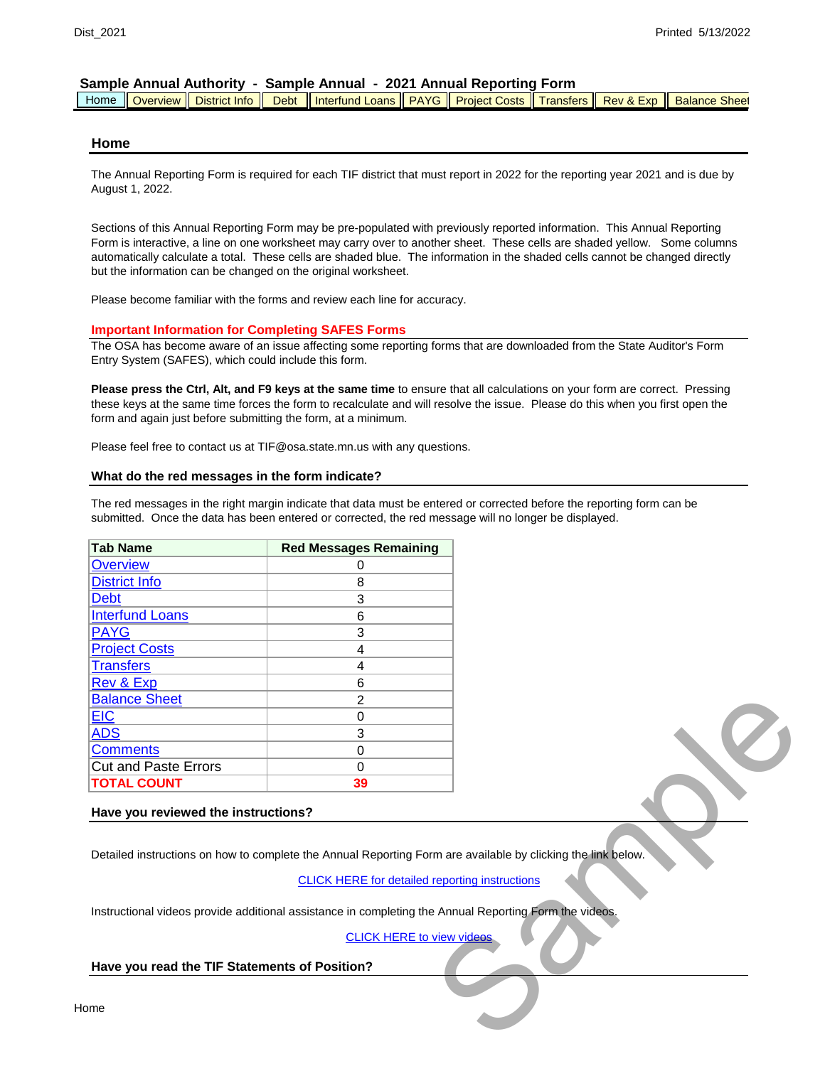|  |  |  |  | Home    Overview    District Info    Debt    Interfund Loans    PAYG    Project Costs    Transfers    Rev & Exp    Balance Sheet |  |  |  |  |  |
|--|--|--|--|----------------------------------------------------------------------------------------------------------------------------------|--|--|--|--|--|
|--|--|--|--|----------------------------------------------------------------------------------------------------------------------------------|--|--|--|--|--|

#### **Home**

The Annual Reporting Form is required for each TIF district that must report in 2022 for the reporting year 2021 and is due by August 1, 2022.

Sections of this Annual Reporting Form may be pre-populated with previously reported information. This Annual Reporting Form is interactive, a line on one worksheet may carry over to another sheet. These cells are shaded yellow. Some columns automatically calculate a total. These cells are shaded blue. The information in the shaded cells cannot be changed directly but the information can be changed on the original worksheet.

Please become familiar with the forms and review each line for accuracy.

#### **Important Information for Completing SAFES Forms**

The OSA has become aware of an issue affecting some reporting forms that are downloaded from the State Auditor's Form Entry System (SAFES), which could include this form.

**Please press the Ctrl, Alt, and F9 keys at the same time** to ensure that all calculations on your form are correct. Pressing these keys at the same time forces the form to recalculate and will resolve the issue. Please do this when you first open the form and again just before submitting the form, at a minimum.

Please feel free to contact us at TIF@osa.state.mn.us with any questions.

#### **What do the red messages in the form indicate?**

The red messages in the right margin indicate that data must be entered or corrected before the reporting form can be submitted. Once the data has been entered or corrected, the red message will no longer be displayed.

| <b>Tab Name</b>             | <b>Red Messages Remaining</b> |
|-----------------------------|-------------------------------|
| <b>Overview</b>             |                               |
| <b>District Info</b>        | 8                             |
| <b>Debt</b>                 | 3                             |
| <b>Interfund Loans</b>      | 6                             |
| <b>PAYG</b>                 | 3                             |
| <b>Project Costs</b>        | 4                             |
| <b>Transfers</b>            | 4                             |
| <b>Rev &amp; Exp</b>        | 6                             |
| <b>Balance Sheet</b>        | $\mathfrak{p}$                |
| <b>EIC</b>                  | ი                             |
| <b>ADS</b>                  | 3                             |
| <b>Comments</b>             | ი                             |
| <b>Cut and Paste Errors</b> | U                             |
| <b>TOTAL COUNT</b>          | 39                            |

#### **Have you reviewed the instructions?**

Detailed instructions on how to complete the Annual Reporting Form are available by clicking the link below. Finance available by clicking the link below.<br>
Feporting instructions<br>
P Annual Reporting Form the videos.<br>
View videos

CLICK HERE for detailed reporting instructions

Instructional videos provide additional assistance in completing the Annual Reporting Form the videos.

#### [C](https://www.osa.state.mn.us/training-guidance/training/training-opportunities/)LICK HERE to view videos

#### **Have you read the TIF Statements of Position?**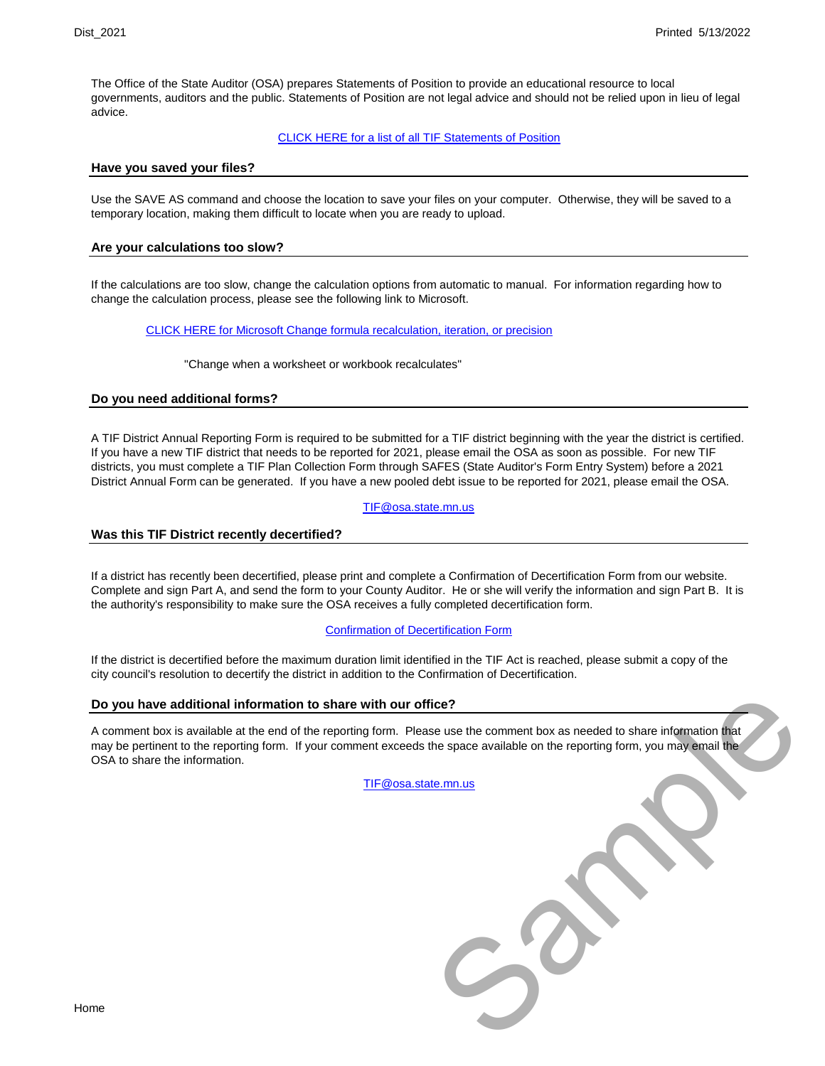The Office of the State Auditor (OSA) prepares Statements of Position to provide an educational resource to local governments, auditors and the public. Statements of Position are not legal advice and should not be relied upon in lieu of legal advice.

#### CLICK HERE for a list of all TIF Statements of Position

#### **Have you saved your files?**

Use the SAVE AS command and choose the location to save your files on your computer. Otherwise, they will be saved to a temporary location, making them difficult to locate when you are ready to upload.

#### **Are your calculations too slow?**

If the calculations are too slow, change the calculation options from automatic to manual. For information regarding how to change the calculation process, please see the following link to Microsoft.

[C](http://office.microsoft.com/en-us/excel-help/change-formula-recalculation-iteration-or-precision-HP010342231.aspx?CTT=1%20-%20BMchange_when_a_worksheet_or_workbook_r)LICK HERE for Microsoft Change formula recalculation, iteration, or precision

"Change when a worksheet or workbook recalculates"

#### **Do you need additional forms?**

A TIF District Annual Reporting Form is required to be submitted for a TIF district beginning with the year the district is certified. If you have a new TIF district that needs to be reported for 2021, please email the OSA as soon as possible. For new TIF districts, you must complete a TIF Plan Collection Form through SAFES (State Auditor's Form Entry System) before a 2021 District Annual Form can be generated. If you have a new pooled debt issue to be reported for 2021, please email the OSA.

#### TIF@osa.state.mn.us

#### **Was this TIF District recently decertified?**

If a district has recently been decertified, please print and complete a Confirmation of Decertification Form from our website. Complete and sign Part A, and send the form to your County Auditor. He or she will verify the information and sign Part B. It is the authority's responsibility to make sure the OSA receives a fully completed decertification form.

#### [C](https://www.osa.state.mn.us/forms-deadlines/forms/tif-forms/)onfirmation of Decertification Form

If the district is decertified before the maximum duration limit identified in the TIF Act is reached, please submit a copy of the city council's resolution to decertify the district in addition to the Confirmation of Decertification.

#### **Do you have additional information to share with our office?**

A comment box is available at the end of the reporting form. Please use the comment box as needed to share information that may be pertinent to the reporting form. If your comment exceeds the space available on the reporting form, you may email the OSA to share the information. See use the comment box as needed to share information that<br>the space available on the reporting form, you may email the<br>te.mn.us

[T](mailto:TIF@osa.state.mn.us)IF@osa.state.mn.us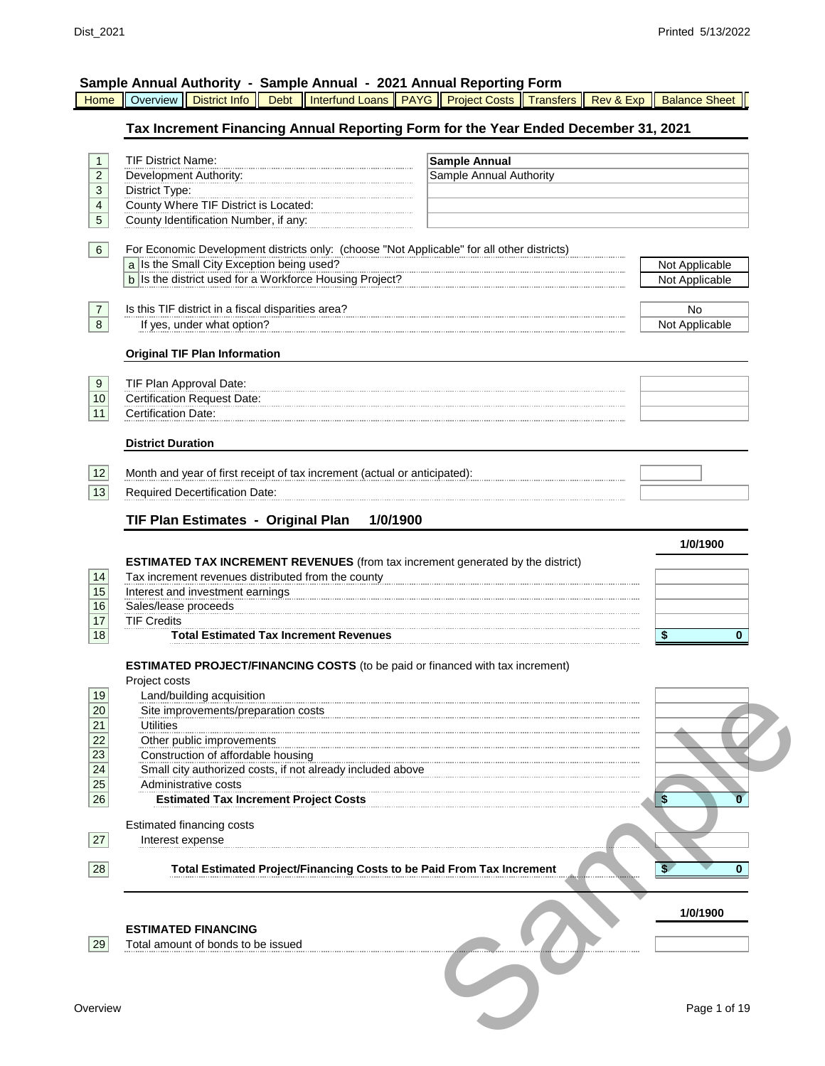| Home                                                                            | Sample Annual Authority - Sample Annual - 2021 Annual Reporting Form<br>Overview<br><b>Debt</b><br><b>District Info</b>                                                                                                                                                                                        | Interfund Loans   PAYG   Project Costs   Transfers   Rev & Exp<br><b>Balance Sheet</b> |
|---------------------------------------------------------------------------------|----------------------------------------------------------------------------------------------------------------------------------------------------------------------------------------------------------------------------------------------------------------------------------------------------------------|----------------------------------------------------------------------------------------|
|                                                                                 | Tax Increment Financing Annual Reporting Form for the Year Ended December 31, 2021                                                                                                                                                                                                                             |                                                                                        |
| $\mathbf{1}$<br>$\overline{2}$<br>3<br>$\overline{\mathbf{4}}$<br>5<br>$6 \mid$ | <b>TIF District Name:</b><br>Development Authority:<br>District Type:<br>County Where TIF District is Located:<br>County Identification Number, if any:<br>For Economic Development districts only: (choose "Not Applicable" for all other districts)                                                          | <b>Sample Annual</b><br>Sample Annual Authority                                        |
|                                                                                 | a Is the Small City Exception being used?<br>b Is the district used for a Workforce Housing Project?                                                                                                                                                                                                           | Not Applicable<br>Not Applicable                                                       |
| $\overline{7}$<br>8                                                             | Is this TIF district in a fiscal disparities area?<br>If yes, under what option?                                                                                                                                                                                                                               | No<br>Not Applicable                                                                   |
|                                                                                 | <b>Original TIF Plan Information</b>                                                                                                                                                                                                                                                                           |                                                                                        |
| 9<br>10<br>11                                                                   | TIF Plan Approval Date:<br><b>Certification Request Date:</b><br><b>Certification Date:</b>                                                                                                                                                                                                                    |                                                                                        |
|                                                                                 | <b>District Duration</b>                                                                                                                                                                                                                                                                                       |                                                                                        |
| 12<br>13                                                                        | Month and year of first receipt of tax increment (actual or anticipated):<br>Required Decertification Date:                                                                                                                                                                                                    |                                                                                        |
|                                                                                 | TIF Plan Estimates - Original Plan<br>1/0/1900                                                                                                                                                                                                                                                                 | 1/0/1900                                                                               |
| 14<br>15<br>16<br>17<br>18                                                      | <b>ESTIMATED TAX INCREMENT REVENUES</b> (from tax increment generated by the district)<br>Tax increment revenues distributed from the county<br>Interest and investment earnings<br>Sales/lease proceeds<br><b>TIF Credits</b><br><b>Total Estimated Tax Increment Revenues</b>                                | \$<br>$\bf{0}$                                                                         |
|                                                                                 | <b>ESTIMATED PROJECT/FINANCING COSTS</b> (to be paid or financed with tax increment)                                                                                                                                                                                                                           |                                                                                        |
| 19<br>20<br>21<br>22<br>23<br>24<br>25<br>26                                    | Project costs<br>Land/building acquisition<br>Site improvements/preparation costs<br><b>Utilities</b><br>Other public improvements<br>Construction of affordable housing<br>Small city authorized costs, if not already included above<br>Administrative costs<br><b>Estimated Tax Increment Project Costs</b> | \$<br>n                                                                                |
| 27                                                                              | Estimated financing costs<br>Interest expense                                                                                                                                                                                                                                                                  |                                                                                        |
| 28                                                                              | <b>Total Estimated Project/Financing Costs to be Paid From Tax Increment</b>                                                                                                                                                                                                                                   | 0                                                                                      |
| 29                                                                              | <b>ESTIMATED FINANCING</b><br>Total amount of bonds to be issued                                                                                                                                                                                                                                               | 1/0/1900                                                                               |
| Overview                                                                        |                                                                                                                                                                                                                                                                                                                | Page 1 of 19                                                                           |

**Overview**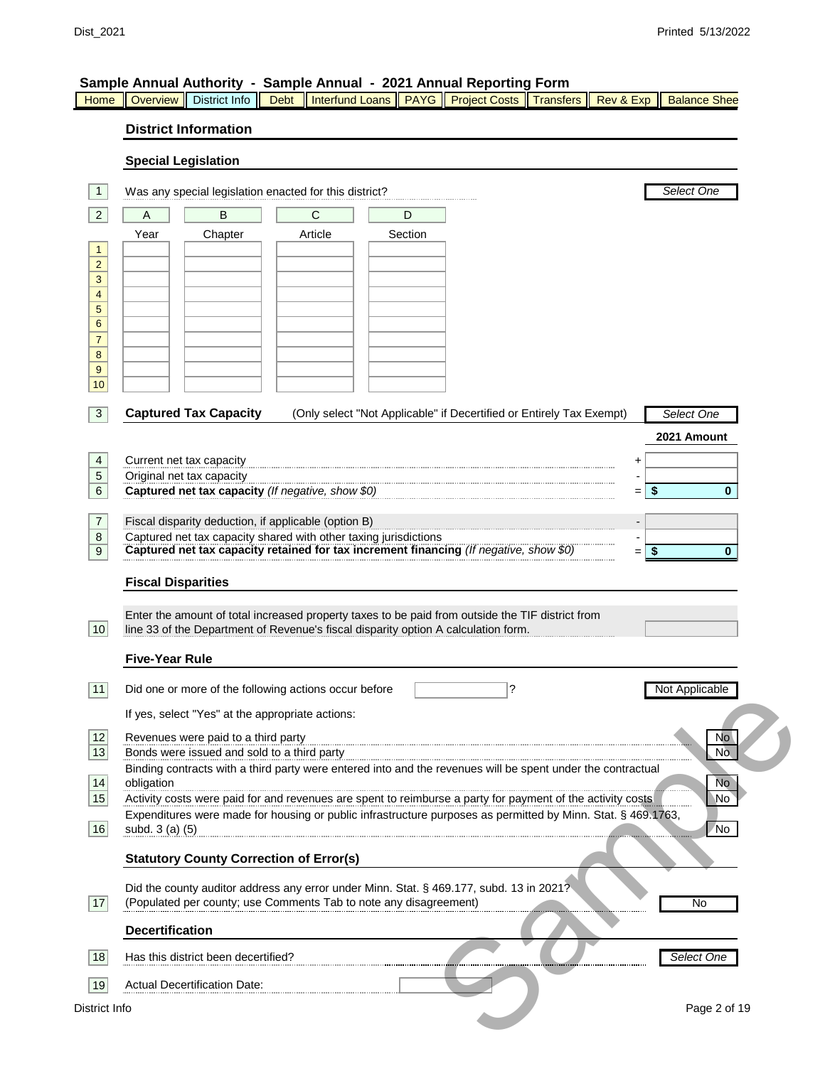| Home                           | Overview                                                                                                                                                                            | District Info                                                                      | <b>Debt</b> | <b>Interfund Loans</b>                                                                                                                                                                 | $\parallel$ PAYG | <b>Project Costs</b> | <b>Transfers</b> | Rev & Exp | <b>Balance Shee</b>  |  |  |  |
|--------------------------------|-------------------------------------------------------------------------------------------------------------------------------------------------------------------------------------|------------------------------------------------------------------------------------|-------------|----------------------------------------------------------------------------------------------------------------------------------------------------------------------------------------|------------------|----------------------|------------------|-----------|----------------------|--|--|--|
|                                |                                                                                                                                                                                     | <b>District Information</b>                                                        |             |                                                                                                                                                                                        |                  |                      |                  |           |                      |  |  |  |
|                                | <b>Special Legislation</b>                                                                                                                                                          |                                                                                    |             |                                                                                                                                                                                        |                  |                      |                  |           |                      |  |  |  |
| $\mathbf{1}$                   |                                                                                                                                                                                     |                                                                                    |             | Was any special legislation enacted for this district?                                                                                                                                 |                  |                      |                  |           | Select One           |  |  |  |
| $\overline{2}$                 | Α                                                                                                                                                                                   | B                                                                                  |             | C                                                                                                                                                                                      | D                |                      |                  |           |                      |  |  |  |
|                                | Year                                                                                                                                                                                | Chapter                                                                            |             | Article                                                                                                                                                                                | Section          |                      |                  |           |                      |  |  |  |
| $\mathbf{1}$<br>$\overline{2}$ |                                                                                                                                                                                     |                                                                                    |             |                                                                                                                                                                                        |                  |                      |                  |           |                      |  |  |  |
| $\mathbf{3}$                   |                                                                                                                                                                                     |                                                                                    |             |                                                                                                                                                                                        |                  |                      |                  |           |                      |  |  |  |
| $\overline{4}$<br>5            |                                                                                                                                                                                     |                                                                                    |             |                                                                                                                                                                                        |                  |                      |                  |           |                      |  |  |  |
| 6                              |                                                                                                                                                                                     |                                                                                    |             |                                                                                                                                                                                        |                  |                      |                  |           |                      |  |  |  |
| $\overline{7}$<br>$\bf 8$      |                                                                                                                                                                                     |                                                                                    |             |                                                                                                                                                                                        |                  |                      |                  |           |                      |  |  |  |
| 9                              |                                                                                                                                                                                     |                                                                                    |             |                                                                                                                                                                                        |                  |                      |                  |           |                      |  |  |  |
| 10                             |                                                                                                                                                                                     |                                                                                    |             |                                                                                                                                                                                        |                  |                      |                  |           |                      |  |  |  |
| 3                              |                                                                                                                                                                                     | <b>Captured Tax Capacity</b>                                                       |             | (Only select "Not Applicable" if Decertified or Entirely Tax Exempt)                                                                                                                   |                  |                      |                  |           | Select One           |  |  |  |
|                                |                                                                                                                                                                                     |                                                                                    |             |                                                                                                                                                                                        |                  |                      |                  |           | 2021 Amount          |  |  |  |
| 4                              |                                                                                                                                                                                     | Current net tax capacity                                                           |             |                                                                                                                                                                                        |                  |                      |                  | +         |                      |  |  |  |
| $\sqrt{5}$<br>6                |                                                                                                                                                                                     | Original net tax capacity<br>Captured net tax capacity (If negative, show \$0)     |             |                                                                                                                                                                                        |                  |                      |                  | \$<br>$=$ | $\mathbf{0}$         |  |  |  |
|                                |                                                                                                                                                                                     |                                                                                    |             |                                                                                                                                                                                        |                  |                      |                  |           |                      |  |  |  |
| 7<br>8                         |                                                                                                                                                                                     | Fiscal disparity deduction, if applicable (option B)                               |             |                                                                                                                                                                                        |                  |                      |                  |           |                      |  |  |  |
| 9                              | Captured net tax capacity shared with other taxing jurisdictions<br>Captured net tax capacity retained for tax increment financing (If negative, show \$0)<br>\$<br>$\bf{0}$<br>$=$ |                                                                                    |             |                                                                                                                                                                                        |                  |                      |                  |           |                      |  |  |  |
|                                | <b>Fiscal Disparities</b>                                                                                                                                                           |                                                                                    |             |                                                                                                                                                                                        |                  |                      |                  |           |                      |  |  |  |
| 10                             |                                                                                                                                                                                     |                                                                                    |             | Enter the amount of total increased property taxes to be paid from outside the TIF district from<br>line 33 of the Department of Revenue's fiscal disparity option A calculation form. |                  |                      |                  |           |                      |  |  |  |
|                                | <b>Five-Year Rule</b>                                                                                                                                                               |                                                                                    |             |                                                                                                                                                                                        |                  |                      |                  |           |                      |  |  |  |
| 11                             |                                                                                                                                                                                     |                                                                                    |             | Did one or more of the following actions occur before                                                                                                                                  |                  | ?                    |                  |           | Not Applicable       |  |  |  |
|                                |                                                                                                                                                                                     |                                                                                    |             |                                                                                                                                                                                        |                  |                      |                  |           |                      |  |  |  |
|                                |                                                                                                                                                                                     | If yes, select "Yes" at the appropriate actions:                                   |             |                                                                                                                                                                                        |                  |                      |                  |           |                      |  |  |  |
| 12<br>13                       |                                                                                                                                                                                     | Revenues were paid to a third party<br>Bonds were issued and sold to a third party |             |                                                                                                                                                                                        |                  |                      |                  |           | No<br>N <sub>o</sub> |  |  |  |
|                                |                                                                                                                                                                                     |                                                                                    |             | Binding contracts with a third party were entered into and the revenues will be spent under the contractual                                                                            |                  |                      |                  |           |                      |  |  |  |
| 14 <br>15                      | obligation                                                                                                                                                                          |                                                                                    |             | Activity costs were paid for and revenues are spent to reimburse a party for payment of the activity costs                                                                             |                  |                      |                  |           | <b>No</b><br>۱No     |  |  |  |
| 16                             |                                                                                                                                                                                     |                                                                                    |             | Expenditures were made for housing or public infrastructure purposes as permitted by Minn. Stat. § 469.1763,                                                                           |                  |                      |                  |           |                      |  |  |  |
|                                | subd. 3 (a) (5)                                                                                                                                                                     |                                                                                    |             |                                                                                                                                                                                        |                  |                      |                  |           | /No                  |  |  |  |
|                                |                                                                                                                                                                                     | <b>Statutory County Correction of Error(s)</b>                                     |             |                                                                                                                                                                                        |                  |                      |                  |           |                      |  |  |  |
| 17                             |                                                                                                                                                                                     |                                                                                    |             | Did the county auditor address any error under Minn. Stat. § 469.177, subd. 13 in 2021?<br>(Populated per county; use Comments Tab to note any disagreement)                           |                  |                      |                  |           | No                   |  |  |  |
|                                | <b>Decertification</b>                                                                                                                                                              |                                                                                    |             |                                                                                                                                                                                        |                  |                      |                  |           |                      |  |  |  |
| 18                             |                                                                                                                                                                                     | Has this district been decertified?                                                |             |                                                                                                                                                                                        |                  |                      |                  |           | Select One           |  |  |  |
| 19                             |                                                                                                                                                                                     | <b>Actual Decertification Date:</b>                                                |             |                                                                                                                                                                                        |                  |                      |                  |           |                      |  |  |  |
| District Info                  |                                                                                                                                                                                     |                                                                                    |             |                                                                                                                                                                                        |                  |                      |                  |           | Page 2 of 19         |  |  |  |
|                                |                                                                                                                                                                                     |                                                                                    |             |                                                                                                                                                                                        |                  |                      |                  |           |                      |  |  |  |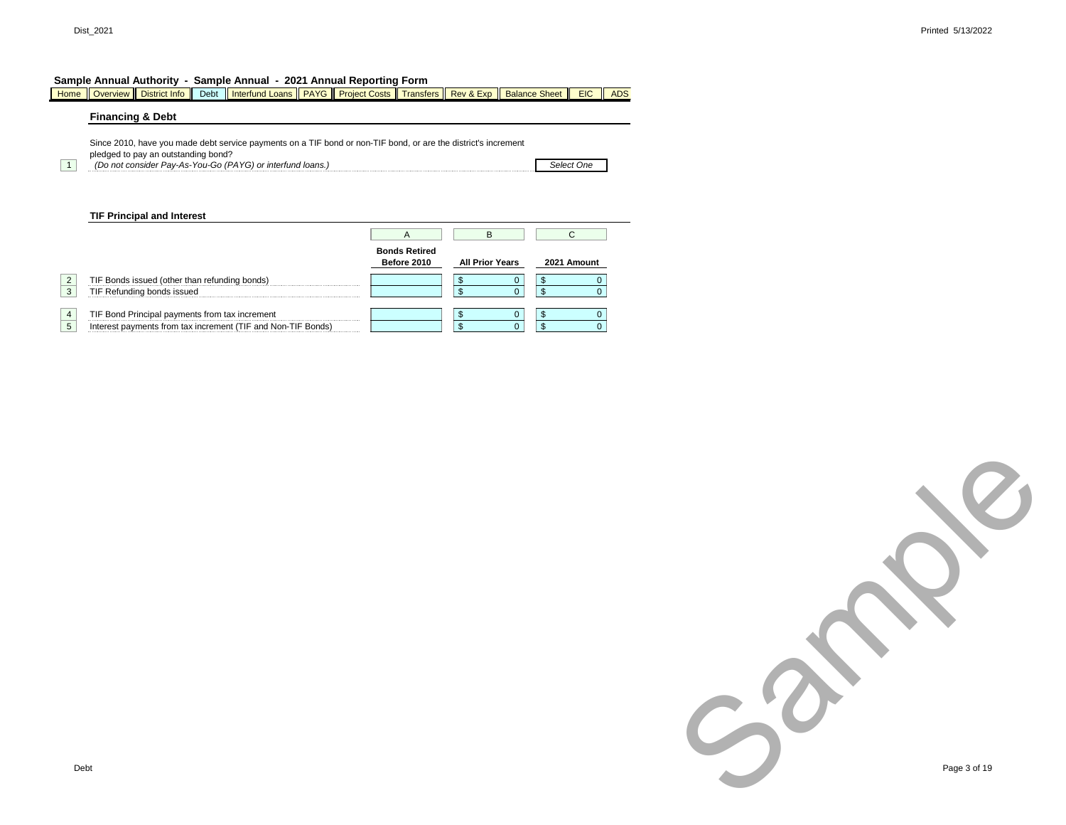|                                                |                             |                                                                 |                                                                                      |                                                            |   |                                                                                                             |         | <b>EIC</b>                                                                                                                                                                                                                                       | <b>ADS</b>                                        |
|------------------------------------------------|-----------------------------|-----------------------------------------------------------------|--------------------------------------------------------------------------------------|------------------------------------------------------------|---|-------------------------------------------------------------------------------------------------------------|---------|--------------------------------------------------------------------------------------------------------------------------------------------------------------------------------------------------------------------------------------------------|---------------------------------------------------|
|                                                |                             |                                                                 |                                                                                      |                                                            |   |                                                                                                             |         |                                                                                                                                                                                                                                                  |                                                   |
|                                                |                             |                                                                 |                                                                                      |                                                            |   |                                                                                                             |         |                                                                                                                                                                                                                                                  |                                                   |
|                                                |                             |                                                                 |                                                                                      |                                                            |   |                                                                                                             |         |                                                                                                                                                                                                                                                  |                                                   |
|                                                |                             |                                                                 |                                                                                      |                                                            |   |                                                                                                             |         |                                                                                                                                                                                                                                                  |                                                   |
|                                                |                             |                                                                 |                                                                                      |                                                            |   |                                                                                                             |         |                                                                                                                                                                                                                                                  |                                                   |
|                                                |                             |                                                                 |                                                                                      |                                                            | А | B                                                                                                           |         | C                                                                                                                                                                                                                                                |                                                   |
|                                                |                             |                                                                 |                                                                                      |                                                            |   |                                                                                                             |         |                                                                                                                                                                                                                                                  |                                                   |
|                                                |                             |                                                                 |                                                                                      |                                                            |   |                                                                                                             |         |                                                                                                                                                                                                                                                  |                                                   |
|                                                |                             |                                                                 |                                                                                      |                                                            |   | S                                                                                                           | \$      | 0                                                                                                                                                                                                                                                |                                                   |
|                                                |                             |                                                                 |                                                                                      |                                                            |   | \$                                                                                                          | \$<br>U |                                                                                                                                                                                                                                                  |                                                   |
|                                                |                             |                                                                 |                                                                                      |                                                            |   |                                                                                                             |         |                                                                                                                                                                                                                                                  | $\Omega$                                          |
| TIF Bond Principal payments from tax increment |                             |                                                                 |                                                                                      |                                                            |   | \$                                                                                                          | \$      | 0                                                                                                                                                                                                                                                |                                                   |
|                                                | <b>Financing &amp; Debt</b> | <b>TIF Principal and Interest</b><br>TIF Refunding bonds issued | pledged to pay an outstanding bond?<br>TIF Bonds issued (other than refunding bonds) | (Do not consider Pay-As-You-Go (PAYG) or interfund loans.) |   | Sample Annual Authority - Sample Annual - 2021 Annual Reporting Form<br><b>Bonds Retired</b><br>Before 2010 |         | Overview   District Info   Debt   Interfund Loans   PAYG   Project Costs   Transfers   Rev & Exp    <br>Since 2010, have you made debt service payments on a TIF bond or non-TIF bond, or are the district's increment<br><b>All Prior Years</b> | <b>Balance Sheet</b><br>Select One<br>2021 Amount |

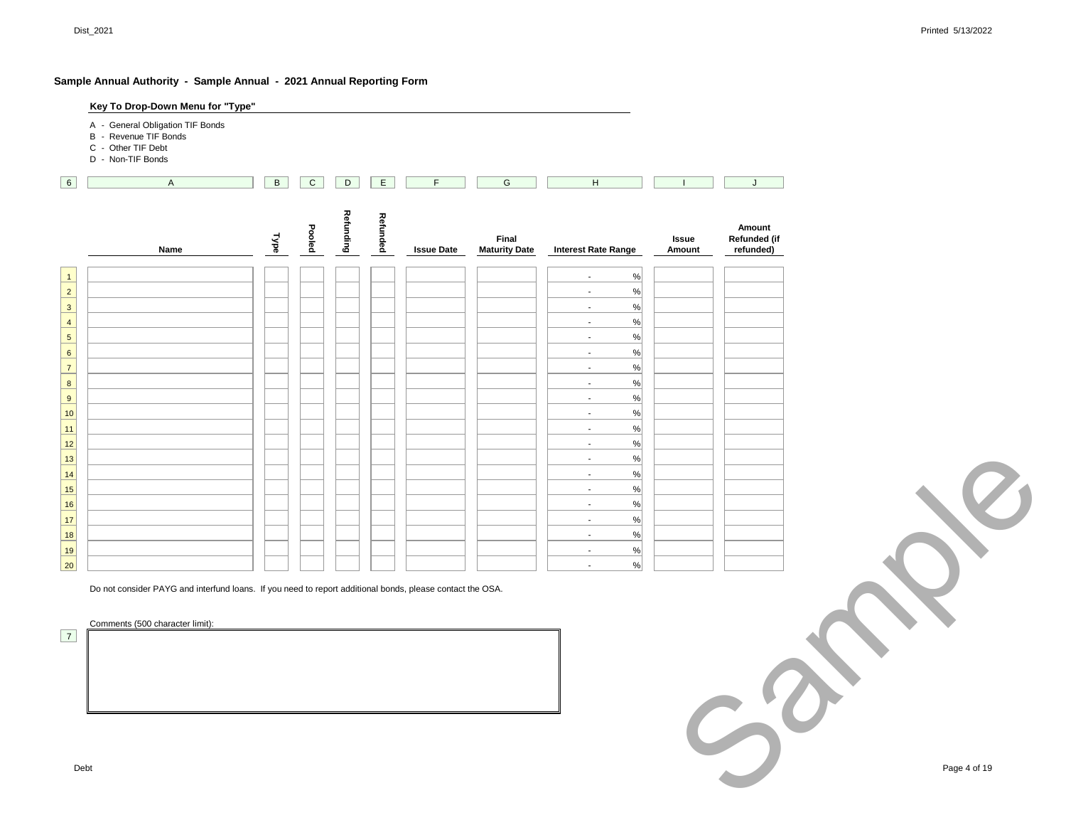|                                         | Key To Drop-Down Menu for "Type"                                                                          |                |                |                  |          |                   |                               |                                                                                                                                                                                                                                                                                                                                                               |                 |                                     |              |
|-----------------------------------------|-----------------------------------------------------------------------------------------------------------|----------------|----------------|------------------|----------|-------------------|-------------------------------|---------------------------------------------------------------------------------------------------------------------------------------------------------------------------------------------------------------------------------------------------------------------------------------------------------------------------------------------------------------|-----------------|-------------------------------------|--------------|
| C - Other TIF Debt<br>D - Non-TIF Bonds | A - General Obligation TIF Bonds<br>B - Revenue TIF Bonds                                                 |                |                |                  |          |                   |                               |                                                                                                                                                                                                                                                                                                                                                               |                 |                                     |              |
|                                         | $\mathsf A$                                                                                               | $\overline{B}$ | $\overline{C}$ | $\boxed{D}$      | E        | $\mathsf F$       | G                             | $\mathsf H$                                                                                                                                                                                                                                                                                                                                                   | $\overline{1}$  | J                                   |              |
|                                         | Name                                                                                                      | Type           | Pooled         | <b>Refunding</b> | Refunded | <b>Issue Date</b> | Final<br><b>Maturity Date</b> | <b>Interest Rate Range</b>                                                                                                                                                                                                                                                                                                                                    | Issue<br>Amount | Amount<br>Refunded (if<br>refunded) |              |
|                                         |                                                                                                           |                |                |                  |          |                   |                               | $\%$<br>$\sim$                                                                                                                                                                                                                                                                                                                                                |                 |                                     |              |
|                                         |                                                                                                           |                |                |                  |          |                   |                               | $\%$<br>$\mathbf{L}$                                                                                                                                                                                                                                                                                                                                          |                 |                                     |              |
|                                         |                                                                                                           |                |                |                  |          |                   |                               | $\%$<br>$\sim$<br>$\%$<br>$\mathbf{L}$                                                                                                                                                                                                                                                                                                                        |                 |                                     |              |
|                                         |                                                                                                           |                |                |                  |          |                   |                               | $\%$<br>$\sim$                                                                                                                                                                                                                                                                                                                                                |                 |                                     |              |
|                                         |                                                                                                           |                |                |                  |          |                   |                               | $\%$<br>$\sim$                                                                                                                                                                                                                                                                                                                                                |                 |                                     |              |
|                                         |                                                                                                           |                |                |                  |          |                   |                               | $\frac{9}{6}$<br>$\mathbf{L}$<br>$% \mathcal{A}\left( \mathcal{A}\right) =\mathcal{A}\left( \mathcal{A}\right)$<br>$\sim$                                                                                                                                                                                                                                     |                 |                                     |              |
|                                         |                                                                                                           |                |                |                  |          |                   |                               | $\%$<br>$\sim$                                                                                                                                                                                                                                                                                                                                                |                 |                                     |              |
|                                         |                                                                                                           |                |                |                  |          |                   |                               | $\frac{9}{6}$<br>$\sim$                                                                                                                                                                                                                                                                                                                                       |                 |                                     |              |
|                                         |                                                                                                           |                |                |                  |          |                   |                               | $\%$<br>$\sim$<br>$\%$<br>$\blacksquare$                                                                                                                                                                                                                                                                                                                      |                 |                                     |              |
|                                         |                                                                                                           |                |                |                  |          |                   |                               | %<br>$\sim$                                                                                                                                                                                                                                                                                                                                                   |                 |                                     |              |
|                                         |                                                                                                           |                |                |                  |          |                   |                               | $\%$<br>$\sim$<br>$\%$<br>$\mathbf{L}$                                                                                                                                                                                                                                                                                                                        |                 |                                     |              |
|                                         |                                                                                                           |                |                |                  |          |                   |                               | $\%$<br>$\sim$                                                                                                                                                                                                                                                                                                                                                |                 |                                     |              |
|                                         |                                                                                                           |                |                |                  |          |                   |                               | $% \left( \left( \left[ \begin{array}{c} 0 & 0 \\ 0 & 0 \\ 0 & 0 \\ 0 & 0 \\ 0 & 0 \\ 0 & 0 \\ 0 & 0 \\ 0 & 0 \\ 0 & 0 \\ 0 & 0 \\ 0 & 0 & 0 \\ 0 & 0 & 0 \\ 0 & 0 & 0 \\ 0 & 0 & 0 \\ 0 & 0 & 0 \\ 0 & 0 & 0 & 0 \\ 0 & 0 & 0 & 0 \\ 0 & 0 & 0 & 0 \\ 0 & 0 & 0 & 0 & 0 \\ 0 & 0 & 0 & 0 & 0 \\ 0 & 0 & 0 & 0 & 0 \\ 0 & 0 & 0 & 0 & 0 \\ 0$<br>$\mathbf{L}$ |                 |                                     |              |
|                                         |                                                                                                           |                |                |                  |          |                   |                               | $\%$<br>$\sim$<br>$\%$<br>$\overline{\phantom{a}}$                                                                                                                                                                                                                                                                                                            |                 |                                     |              |
|                                         |                                                                                                           |                |                |                  |          |                   |                               | $\%$<br>$\mathbb{Z}^2$                                                                                                                                                                                                                                                                                                                                        |                 |                                     |              |
|                                         | Do not consider PAYG and interfund loans. If you need to report additional bonds, please contact the OSA. |                |                |                  |          |                   |                               |                                                                                                                                                                                                                                                                                                                                                               |                 |                                     |              |
|                                         | Comments (500 character limit):                                                                           |                |                |                  |          |                   |                               |                                                                                                                                                                                                                                                                                                                                                               |                 |                                     |              |
|                                         |                                                                                                           |                |                |                  |          |                   |                               |                                                                                                                                                                                                                                                                                                                                                               |                 |                                     |              |
|                                         |                                                                                                           |                |                |                  |          |                   |                               |                                                                                                                                                                                                                                                                                                                                                               |                 |                                     |              |
|                                         |                                                                                                           |                |                |                  |          |                   |                               |                                                                                                                                                                                                                                                                                                                                                               |                 |                                     |              |
|                                         |                                                                                                           |                |                |                  |          |                   |                               |                                                                                                                                                                                                                                                                                                                                                               |                 |                                     |              |
|                                         |                                                                                                           |                |                |                  |          |                   |                               |                                                                                                                                                                                                                                                                                                                                                               |                 |                                     |              |
|                                         |                                                                                                           |                |                |                  |          |                   |                               |                                                                                                                                                                                                                                                                                                                                                               |                 |                                     |              |
| Debt                                    |                                                                                                           |                |                |                  |          |                   |                               |                                                                                                                                                                                                                                                                                                                                                               |                 |                                     | Page 4 of 19 |
|                                         |                                                                                                           |                |                |                  |          |                   |                               |                                                                                                                                                                                                                                                                                                                                                               |                 |                                     |              |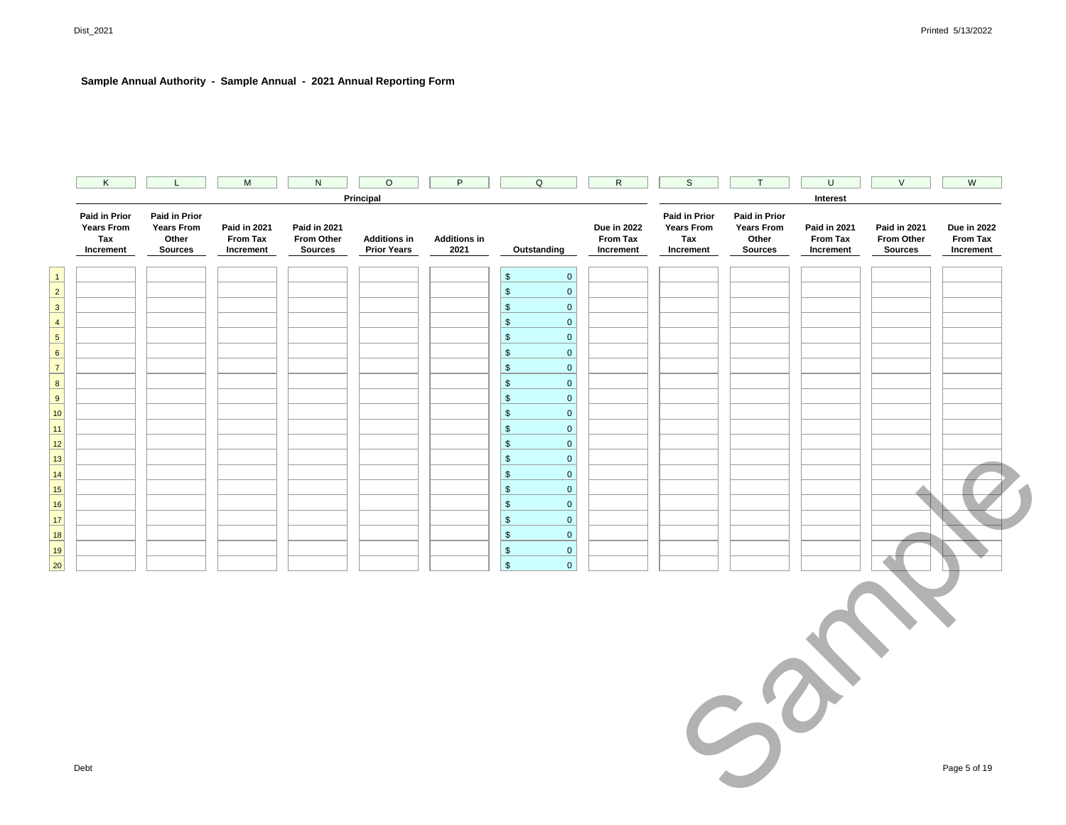| Principal<br>Interest<br>Paid in Prior<br><b>Paid in Prior</b><br><b>Paid in Prior</b><br><b>Paid in Prior</b><br>Years From<br><b>Years From</b><br><b>Due in 2022</b><br><b>Years From</b><br><b>Years From</b><br><b>Due in 2022</b><br>Paid in 2021<br><b>Paid in 2021</b><br><b>Paid in 2021</b><br>Paid in 2021<br>Tax<br>Other<br>From Tax<br>From Other<br><b>Additions in</b><br><b>Additions in</b><br>From Tax<br>Tax<br>Other<br><b>From Tax</b><br>From Other<br>From Tax<br>2021<br>Increment<br><b>Sources</b><br>Increment<br><b>Sources</b><br><b>Prior Years</b><br>Outstanding<br>Increment<br>Increment<br><b>Sources</b><br>Increment<br><b>Sources</b><br>Increment<br>$\mathfrak s$<br>$\mathbf{0}$<br>$\overline{1}$<br>$\overline{2}$<br>$\mathbb{S}$<br>$\mathbf 0$<br>$\overline{\mathbf{3}}$<br>$$\mathbb{S}$$<br>$\mathbf 0$<br>$\frac{4}{1}$<br>$\,$<br>$\mathbf{0}$<br>$\overline{5}$<br>$$\mathbb{S}$$<br>$\mathbf 0$<br>$6\overline{6}$<br>$\mathbb{S}$<br>$\mathbf 0$<br>7 <sup>1</sup><br>$\sqrt[6]{\frac{1}{2}}$<br>$\mathbf{0}$<br>$\boxed{8}$<br>$\frac{1}{2}$<br>$\overline{0}$<br>9<br>$\sqrt[6]{\frac{1}{2}}$<br>$\mathbf 0$<br>10<br>$$\mathbb{S}$$<br>$\overline{0}$<br>$\mathbb{S}$<br>$\mathbf 0$<br>11<br>$\mathbb{S}$<br>$\mathbf{0}$<br>$\overline{12}$<br>$\begin{array}{c c}\n13 \\ \hline\n14\n\end{array}$<br>$$\mathbb{S}$$<br>$\mathbf{0}$<br>$\mathbb{S}$<br>$\mathbf 0$<br>$\frac{1}{15}$<br>$$\mathbb{S}$$<br>$\pmb{0}$<br>$\frac{1}{16}$<br>$\,$<br>$\mathbf 0$<br>$\mathbb{S}$<br>$17$<br>$\overline{0}$<br>18<br>$\mathbb{S}$<br>$\mathbf 0$<br>19<br>$\sqrt[6]{\frac{1}{2}}$<br>$\overline{0}$<br>$\overline{20}$<br>$$\mathbb{S}$$<br>$\overline{0}$<br>$C^{\prime}$<br>Debt | K | L. | ${\sf M}$ | $\mathsf N$ | $\overline{O}$ | P | $\mathsf Q$ | $\mathsf{R}$ | $\mathsf S$ | T | $\sf U$ | $\vee$ | ${\sf W}$    |
|--------------------------------------------------------------------------------------------------------------------------------------------------------------------------------------------------------------------------------------------------------------------------------------------------------------------------------------------------------------------------------------------------------------------------------------------------------------------------------------------------------------------------------------------------------------------------------------------------------------------------------------------------------------------------------------------------------------------------------------------------------------------------------------------------------------------------------------------------------------------------------------------------------------------------------------------------------------------------------------------------------------------------------------------------------------------------------------------------------------------------------------------------------------------------------------------------------------------------------------------------------------------------------------------------------------------------------------------------------------------------------------------------------------------------------------------------------------------------------------------------------------------------------------------------------------------------------------------------------------------------------------------------------------------------------------------------------------------------------------------|---|----|-----------|-------------|----------------|---|-------------|--------------|-------------|---|---------|--------|--------------|
|                                                                                                                                                                                                                                                                                                                                                                                                                                                                                                                                                                                                                                                                                                                                                                                                                                                                                                                                                                                                                                                                                                                                                                                                                                                                                                                                                                                                                                                                                                                                                                                                                                                                                                                                            |   |    |           |             |                |   |             |              |             |   |         |        |              |
|                                                                                                                                                                                                                                                                                                                                                                                                                                                                                                                                                                                                                                                                                                                                                                                                                                                                                                                                                                                                                                                                                                                                                                                                                                                                                                                                                                                                                                                                                                                                                                                                                                                                                                                                            |   |    |           |             |                |   |             |              |             |   |         |        |              |
|                                                                                                                                                                                                                                                                                                                                                                                                                                                                                                                                                                                                                                                                                                                                                                                                                                                                                                                                                                                                                                                                                                                                                                                                                                                                                                                                                                                                                                                                                                                                                                                                                                                                                                                                            |   |    |           |             |                |   |             |              |             |   |         |        |              |
|                                                                                                                                                                                                                                                                                                                                                                                                                                                                                                                                                                                                                                                                                                                                                                                                                                                                                                                                                                                                                                                                                                                                                                                                                                                                                                                                                                                                                                                                                                                                                                                                                                                                                                                                            |   |    |           |             |                |   |             |              |             |   |         |        |              |
|                                                                                                                                                                                                                                                                                                                                                                                                                                                                                                                                                                                                                                                                                                                                                                                                                                                                                                                                                                                                                                                                                                                                                                                                                                                                                                                                                                                                                                                                                                                                                                                                                                                                                                                                            |   |    |           |             |                |   |             |              |             |   |         |        |              |
|                                                                                                                                                                                                                                                                                                                                                                                                                                                                                                                                                                                                                                                                                                                                                                                                                                                                                                                                                                                                                                                                                                                                                                                                                                                                                                                                                                                                                                                                                                                                                                                                                                                                                                                                            |   |    |           |             |                |   |             |              |             |   |         |        |              |
|                                                                                                                                                                                                                                                                                                                                                                                                                                                                                                                                                                                                                                                                                                                                                                                                                                                                                                                                                                                                                                                                                                                                                                                                                                                                                                                                                                                                                                                                                                                                                                                                                                                                                                                                            |   |    |           |             |                |   |             |              |             |   |         |        |              |
|                                                                                                                                                                                                                                                                                                                                                                                                                                                                                                                                                                                                                                                                                                                                                                                                                                                                                                                                                                                                                                                                                                                                                                                                                                                                                                                                                                                                                                                                                                                                                                                                                                                                                                                                            |   |    |           |             |                |   |             |              |             |   |         |        |              |
|                                                                                                                                                                                                                                                                                                                                                                                                                                                                                                                                                                                                                                                                                                                                                                                                                                                                                                                                                                                                                                                                                                                                                                                                                                                                                                                                                                                                                                                                                                                                                                                                                                                                                                                                            |   |    |           |             |                |   |             |              |             |   |         |        |              |
|                                                                                                                                                                                                                                                                                                                                                                                                                                                                                                                                                                                                                                                                                                                                                                                                                                                                                                                                                                                                                                                                                                                                                                                                                                                                                                                                                                                                                                                                                                                                                                                                                                                                                                                                            |   |    |           |             |                |   |             |              |             |   |         |        |              |
|                                                                                                                                                                                                                                                                                                                                                                                                                                                                                                                                                                                                                                                                                                                                                                                                                                                                                                                                                                                                                                                                                                                                                                                                                                                                                                                                                                                                                                                                                                                                                                                                                                                                                                                                            |   |    |           |             |                |   |             |              |             |   |         |        |              |
|                                                                                                                                                                                                                                                                                                                                                                                                                                                                                                                                                                                                                                                                                                                                                                                                                                                                                                                                                                                                                                                                                                                                                                                                                                                                                                                                                                                                                                                                                                                                                                                                                                                                                                                                            |   |    |           |             |                |   |             |              |             |   |         |        |              |
|                                                                                                                                                                                                                                                                                                                                                                                                                                                                                                                                                                                                                                                                                                                                                                                                                                                                                                                                                                                                                                                                                                                                                                                                                                                                                                                                                                                                                                                                                                                                                                                                                                                                                                                                            |   |    |           |             |                |   |             |              |             |   |         |        |              |
|                                                                                                                                                                                                                                                                                                                                                                                                                                                                                                                                                                                                                                                                                                                                                                                                                                                                                                                                                                                                                                                                                                                                                                                                                                                                                                                                                                                                                                                                                                                                                                                                                                                                                                                                            |   |    |           |             |                |   |             |              |             |   |         |        |              |
|                                                                                                                                                                                                                                                                                                                                                                                                                                                                                                                                                                                                                                                                                                                                                                                                                                                                                                                                                                                                                                                                                                                                                                                                                                                                                                                                                                                                                                                                                                                                                                                                                                                                                                                                            |   |    |           |             |                |   |             |              |             |   |         |        |              |
|                                                                                                                                                                                                                                                                                                                                                                                                                                                                                                                                                                                                                                                                                                                                                                                                                                                                                                                                                                                                                                                                                                                                                                                                                                                                                                                                                                                                                                                                                                                                                                                                                                                                                                                                            |   |    |           |             |                |   |             |              |             |   |         |        |              |
|                                                                                                                                                                                                                                                                                                                                                                                                                                                                                                                                                                                                                                                                                                                                                                                                                                                                                                                                                                                                                                                                                                                                                                                                                                                                                                                                                                                                                                                                                                                                                                                                                                                                                                                                            |   |    |           |             |                |   |             |              |             |   |         |        |              |
|                                                                                                                                                                                                                                                                                                                                                                                                                                                                                                                                                                                                                                                                                                                                                                                                                                                                                                                                                                                                                                                                                                                                                                                                                                                                                                                                                                                                                                                                                                                                                                                                                                                                                                                                            |   |    |           |             |                |   |             |              |             |   |         |        |              |
|                                                                                                                                                                                                                                                                                                                                                                                                                                                                                                                                                                                                                                                                                                                                                                                                                                                                                                                                                                                                                                                                                                                                                                                                                                                                                                                                                                                                                                                                                                                                                                                                                                                                                                                                            |   |    |           |             |                |   |             |              |             |   |         |        |              |
|                                                                                                                                                                                                                                                                                                                                                                                                                                                                                                                                                                                                                                                                                                                                                                                                                                                                                                                                                                                                                                                                                                                                                                                                                                                                                                                                                                                                                                                                                                                                                                                                                                                                                                                                            |   |    |           |             |                |   |             |              |             |   |         |        |              |
|                                                                                                                                                                                                                                                                                                                                                                                                                                                                                                                                                                                                                                                                                                                                                                                                                                                                                                                                                                                                                                                                                                                                                                                                                                                                                                                                                                                                                                                                                                                                                                                                                                                                                                                                            |   |    |           |             |                |   |             |              |             |   |         |        |              |
|                                                                                                                                                                                                                                                                                                                                                                                                                                                                                                                                                                                                                                                                                                                                                                                                                                                                                                                                                                                                                                                                                                                                                                                                                                                                                                                                                                                                                                                                                                                                                                                                                                                                                                                                            |   |    |           |             |                |   |             |              |             |   |         |        | Page 5 of 19 |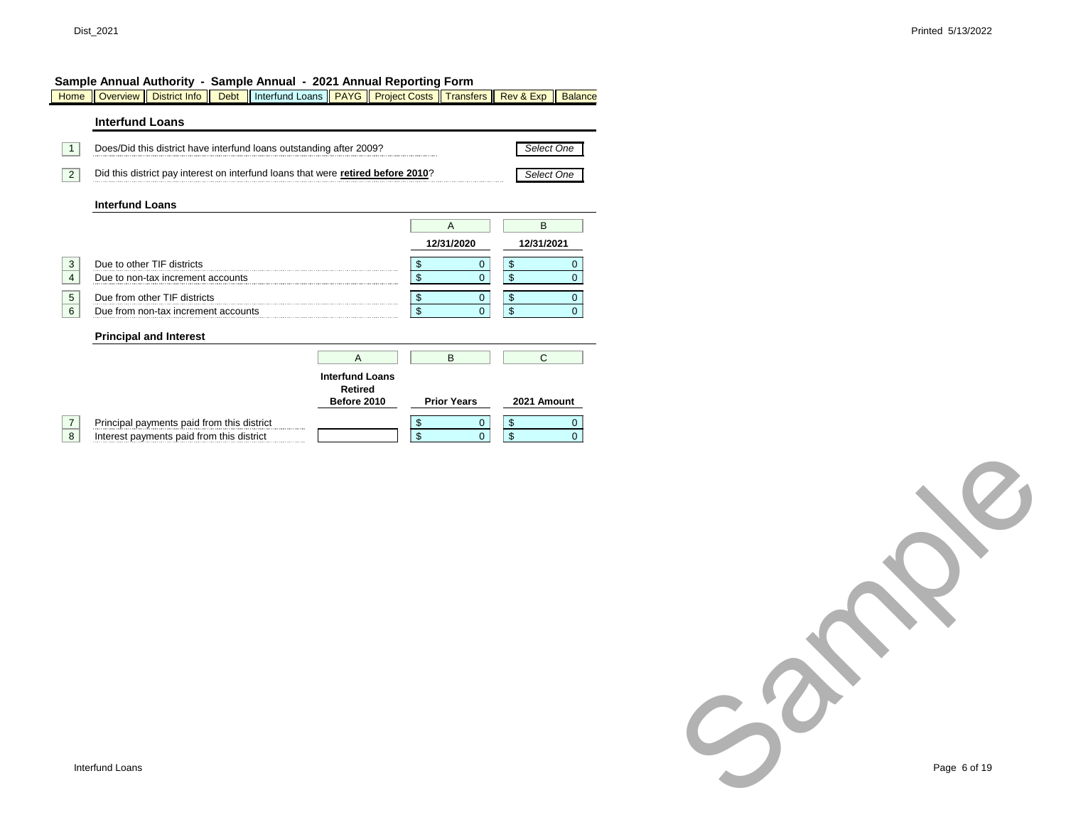Home Overview District Info | Debt | Interfund Loans | PAYG | Project Costs | Transfers | Rev & Exp | Balance

#### **Interfund Loans 1** Does/Did this district have interfund loans outstanding after 2009? **2** Did this district pay interest on interfund loans that were **retired before 2010**? **Interfund Loans** 3 Due to other TIF districts 4 Due to non-tax increment accounts 5 Due from other TIF districts 6 Due from non-tax increment accounts **Principal and Interest 7** Principal payments paid from this district 8 Interest payments paid from this district A || B || C \$ 0 **Interfund Loans Retired Before 2010**  $\begin{array}{|c|c|}\n\hline\n\text{ $s$} & \text{ $0$} \\
\hline\n\text{ $s$} & \text{ $0$} \\
\hline\n\end{array}$  $\begin{array}{ccc} \texttt{\$} & \texttt{\$} & \texttt{\$} & \texttt{\$} \end{array}$ A || B **12/31/2020 12/31/2021**  $\begin{array}{ccc} \text{S} & \text{O} & \end{array}$  $\begin{array}{c|c}\n\text{\$} & \text{\$} \\
\text{\$} & \text{\$} \\
\text{\$} & \text{\$} \n\end{array}$  $\begin{array}{ccc} \text{S} & \text{O} \end{array}$  $\begin{array}{ccc} \text{S} & \text{O} & \end{array}$ **Prior Years** \$ 0  $\begin{array}{ccc} \texttt{\$} & & \texttt{\$} & \texttt{\$} \end{array}$  $\begin{matrix} \text{I} & \text{I} & \text{I} & \text{I} & \text{I} & \text{I} & \text{I} & \text{I} & \text{I} & \text{I} & \text{I} & \text{I} & \text{I} & \text{I} & \text{I} & \text{I} & \text{I} & \text{I} & \text{I} & \text{I} & \text{I} & \text{I} & \text{I} & \text{I} & \text{I} & \text{I} & \text{I} & \text{I} & \text{I} & \text{I} & \text{I} & \text{I} & \text{I} & \text{I} & \text{I} & \text{I}$  $\begin{array}{ccc} \text{S} & \text{O} & \end{array}$ *Select One Select One* **2021 Amount**

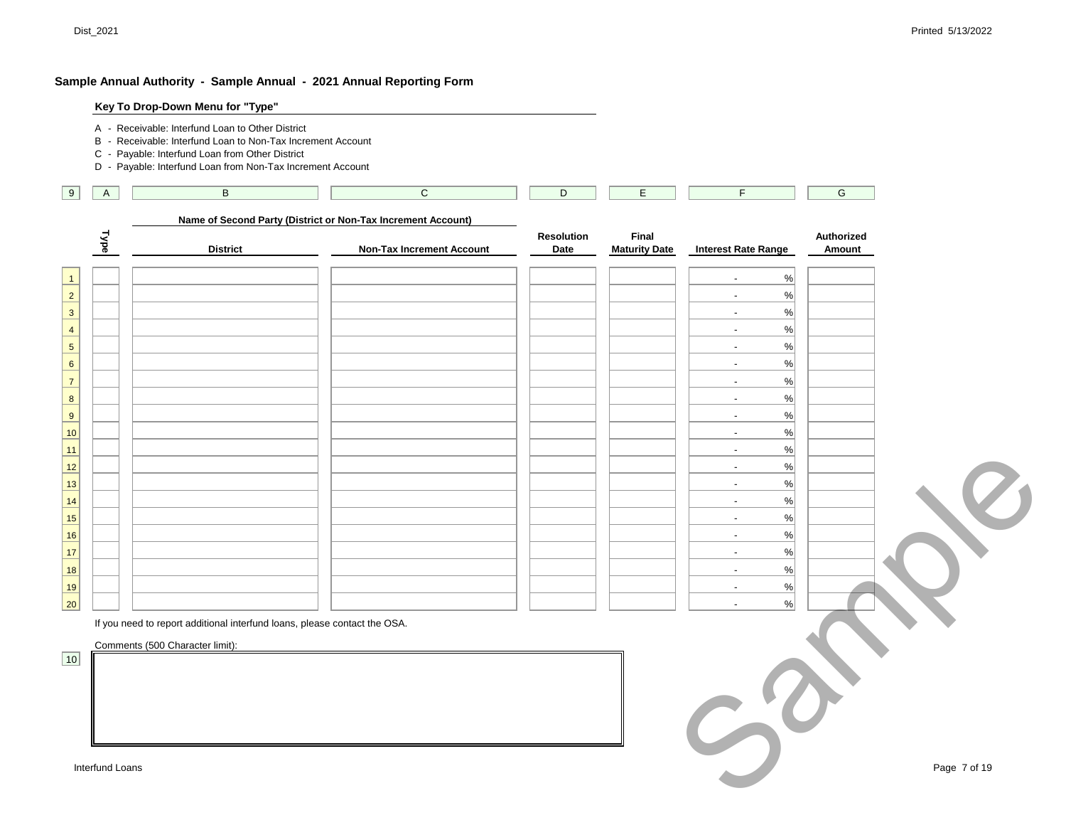| A           | $\,$ B                                                                    | $\mathsf{C}$                                                 | D          | E.                   | F.                                       | ${\mathsf G}$ |  |
|-------------|---------------------------------------------------------------------------|--------------------------------------------------------------|------------|----------------------|------------------------------------------|---------------|--|
|             |                                                                           | Name of Second Party (District or Non-Tax Increment Account) | Resolution | Final                |                                          | Authorized    |  |
| <b>Type</b> | <b>District</b>                                                           | <b>Non-Tax Increment Account</b>                             | Date       | <b>Maturity Date</b> | <b>Interest Rate Range</b>               | Amount        |  |
|             |                                                                           |                                                              |            |                      | $\%$<br>$\overline{a}$                   |               |  |
|             |                                                                           |                                                              |            |                      | $\%$<br>$\overline{a}$                   |               |  |
|             |                                                                           |                                                              |            |                      | $\%$<br>L,                               |               |  |
|             |                                                                           |                                                              |            |                      | $\%$<br>$\overline{\phantom{a}}$         |               |  |
|             |                                                                           |                                                              |            |                      | $\%$<br>$\overline{\phantom{a}}$         |               |  |
|             |                                                                           |                                                              |            |                      | $\%$<br>$\sim$                           |               |  |
|             |                                                                           |                                                              |            |                      | $\%$<br>$\overline{a}$                   |               |  |
|             |                                                                           |                                                              |            |                      | $\%$<br>$\overline{\phantom{a}}$         |               |  |
|             |                                                                           |                                                              |            |                      | $\%$<br>$\overline{a}$                   |               |  |
|             |                                                                           |                                                              |            |                      | %<br>$\overline{a}$                      |               |  |
|             |                                                                           |                                                              |            |                      | $\%$<br>$\sim$                           |               |  |
|             |                                                                           |                                                              |            |                      | $\%$<br>$\blacksquare$                   |               |  |
|             |                                                                           |                                                              |            |                      | $\%$<br>$\sim$                           |               |  |
|             |                                                                           |                                                              |            |                      | $\%$<br>$\overline{a}$<br>$\overline{a}$ |               |  |
|             |                                                                           |                                                              |            |                      | %<br>$\blacksquare$                      |               |  |
|             |                                                                           |                                                              |            |                      | $\%$<br>$\%$<br>$\overline{\phantom{a}}$ |               |  |
|             |                                                                           |                                                              |            |                      | $\%$<br>$\overline{a}$                   |               |  |
|             |                                                                           |                                                              |            |                      | $\%$<br>$\overline{a}$                   |               |  |
|             |                                                                           |                                                              |            |                      | %<br>$\overline{a}$                      |               |  |
|             | If you need to report additional interfund loans, please contact the OSA. |                                                              |            |                      |                                          |               |  |
|             | Comments (500 Character limit):                                           |                                                              |            |                      |                                          |               |  |
|             |                                                                           |                                                              |            |                      |                                          |               |  |
|             |                                                                           |                                                              |            |                      |                                          |               |  |
|             |                                                                           |                                                              |            |                      |                                          |               |  |
|             |                                                                           |                                                              |            |                      |                                          |               |  |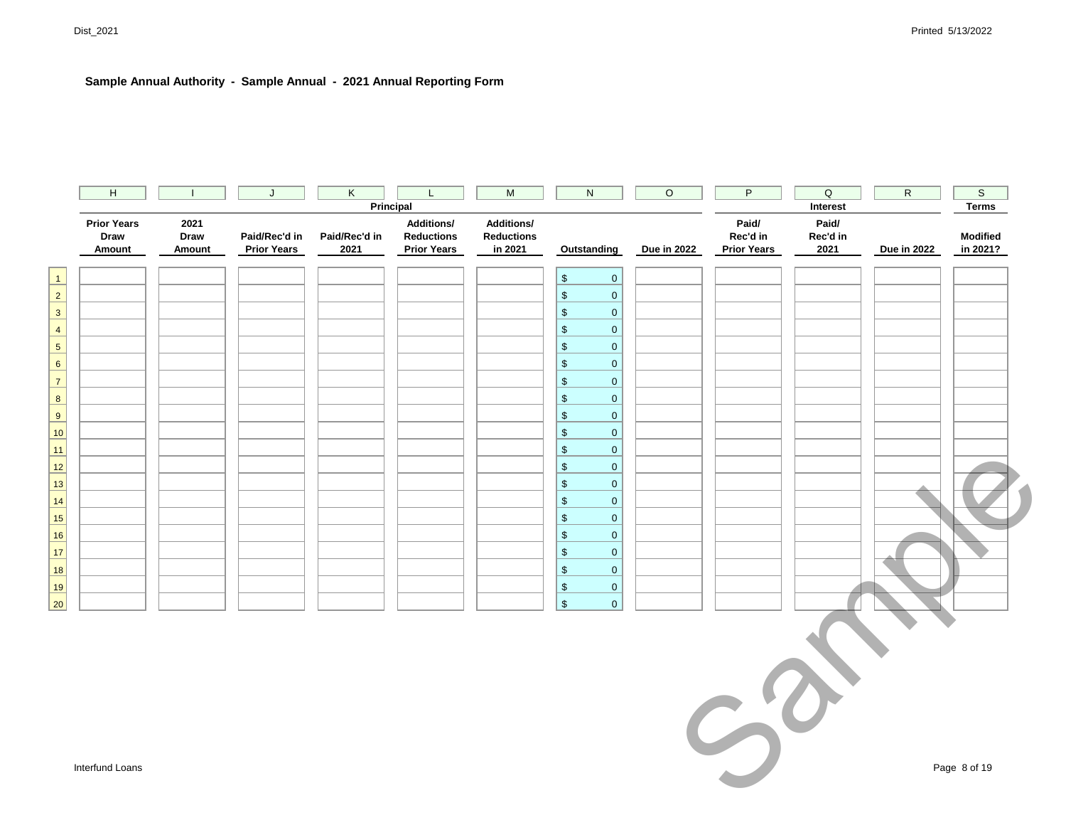|                          | H                                    |                        | J                                   | K                     |                                                              | M                                                 | $\mathsf{N}$                       | $\circ$     | P                                       | $\mathsf Q$               | $\mathsf{R}$ | $\mathsf S$                 |
|--------------------------|--------------------------------------|------------------------|-------------------------------------|-----------------------|--------------------------------------------------------------|---------------------------------------------------|------------------------------------|-------------|-----------------------------------------|---------------------------|--------------|-----------------------------|
|                          |                                      |                        |                                     | Principal             |                                                              |                                                   |                                    |             |                                         | Interest                  |              | <b>Terms</b>                |
|                          | <b>Prior Years</b><br>Draw<br>Amount | 2021<br>Draw<br>Amount | Paid/Rec'd in<br><b>Prior Years</b> | Paid/Rec'd in<br>2021 | <b>Additions/</b><br><b>Reductions</b><br><b>Prior Years</b> | <b>Additions/</b><br><b>Reductions</b><br>in 2021 | Outstanding                        | Due in 2022 | Paid/<br>Rec'd in<br><b>Prior Years</b> | Paid/<br>Rec'd in<br>2021 | Due in 2022  | <b>Modified</b><br>in 2021? |
| $\mathbf{1}$             |                                      |                        |                                     |                       |                                                              |                                                   | $$\mathbb{S}$$<br>$\overline{0}$   |             |                                         |                           |              |                             |
| $\overline{2}$           |                                      |                        |                                     |                       |                                                              |                                                   | $\$\$<br>$\overline{0}$            |             |                                         |                           |              |                             |
| $\mathsf 3$              |                                      |                        |                                     |                       |                                                              |                                                   | $\$\$<br>$\overline{0}$            |             |                                         |                           |              |                             |
| $\overline{4}$           |                                      |                        |                                     |                       |                                                              |                                                   | $\$\$<br>$\overline{0}$            |             |                                         |                           |              |                             |
| $\overline{\phantom{a}}$ |                                      |                        |                                     |                       |                                                              |                                                   | $$\mathfrak{s}$$<br>$\overline{0}$ |             |                                         |                           |              |                             |
| $6 \overline{}$          |                                      |                        |                                     |                       |                                                              |                                                   | $$\mathfrak{s}$$<br>$\overline{0}$ |             |                                         |                           |              |                             |
| $\overline{7}$           |                                      |                        |                                     |                       |                                                              |                                                   | $$\mathfrak{s}$$<br>$\overline{0}$ |             |                                         |                           |              |                             |
| $\frac{8}{1}$            |                                      |                        |                                     |                       |                                                              |                                                   | $$\mathfrak{s}$$<br>$\overline{0}$ |             |                                         |                           |              |                             |
| $\overline{9}$           |                                      |                        |                                     |                       |                                                              |                                                   | $\,$<br>$\overline{0}$             |             |                                         |                           |              |                             |
| 10 <sub>1</sub>          |                                      |                        |                                     |                       |                                                              |                                                   | $$\mathfrak{s}$$<br>$\overline{0}$ |             |                                         |                           |              |                             |
| 11<br>-                  |                                      |                        |                                     |                       |                                                              |                                                   | $\,$<br>$\overline{0}$             |             |                                         |                           |              |                             |
| $\overline{12}$          |                                      |                        |                                     |                       |                                                              |                                                   | $\,$<br>$\overline{0}$             |             |                                         |                           |              |                             |
| 13                       |                                      |                        |                                     |                       |                                                              |                                                   | $$\mathfrak{s}$$<br>$\overline{0}$ |             |                                         |                           |              |                             |
| 14                       |                                      |                        |                                     |                       |                                                              |                                                   | $$\mathfrak{s}$$<br>$\overline{0}$ |             |                                         |                           |              |                             |
| $\frac{15}{1}$           |                                      |                        |                                     |                       |                                                              |                                                   | $$\mathfrak{s}$$<br>$\overline{0}$ |             |                                         |                           |              |                             |
| 16                       |                                      |                        |                                     |                       |                                                              |                                                   | $$\mathfrak{s}$$<br>$\overline{0}$ |             |                                         |                           |              |                             |
| 17 <sup>2</sup><br>۰     |                                      |                        |                                     |                       |                                                              |                                                   | $\$\$<br>$\mathbf{0}$              |             |                                         |                           |              |                             |
| $\frac{18}{1}$           |                                      |                        |                                     |                       |                                                              |                                                   | $\$\$<br>$\overline{0}$            |             |                                         |                           |              |                             |
| 19                       |                                      |                        |                                     |                       |                                                              |                                                   | $\,$<br>$\overline{0}$             |             |                                         |                           |              |                             |
| 20                       |                                      |                        |                                     |                       |                                                              |                                                   | $\mathsf{\$}$<br>$\overline{0}$    |             |                                         |                           |              |                             |

 $S^{\delta}$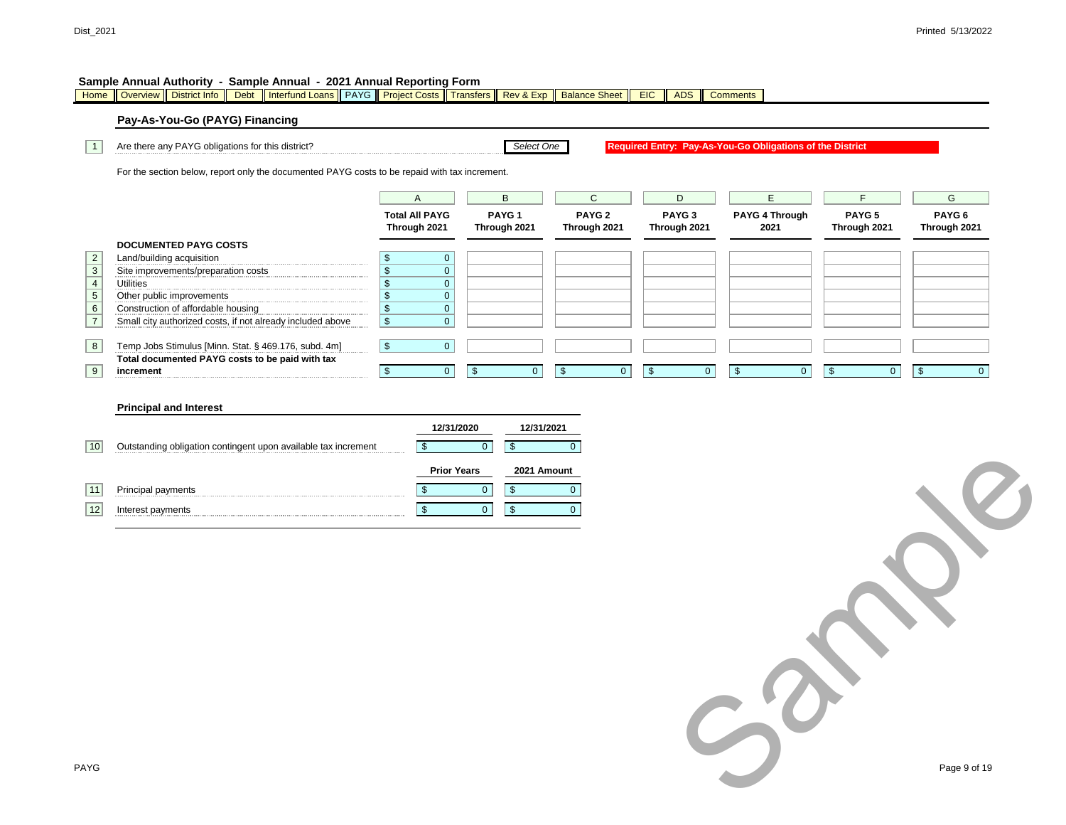Home Overview District Info Debt | Interfund Loans | PAYG | Project Costs | Transfers | Rev & Exp | Balance Sheet | EIC | ADS | Comments

#### **Pay-As-You-Go (PAYG) Financing**

1 Are there any PAYG obligations for this district?

For the section below, report only the documented PAYG costs to be repaid with tax increment.

|                | TOT the accupit below, report only the accumented FATO coata to be repaid with tax increment. |                                       |                |                                   |                                   |                                   |                               |                                   |                        |
|----------------|-----------------------------------------------------------------------------------------------|---------------------------------------|----------------|-----------------------------------|-----------------------------------|-----------------------------------|-------------------------------|-----------------------------------|------------------------|
|                |                                                                                               | A                                     |                | B                                 | C.                                | D                                 | F                             |                                   | G                      |
|                |                                                                                               | <b>Total All PAYG</b><br>Through 2021 |                | PAYG <sub>1</sub><br>Through 2021 | PAYG <sub>2</sub><br>Through 2021 | PAYG <sub>3</sub><br>Through 2021 | <b>PAYG 4 Through</b><br>2021 | PAYG <sub>5</sub><br>Through 2021 | PAYG 6<br>Through 2021 |
|                | <b>DOCUMENTED PAYG COSTS</b>                                                                  |                                       |                |                                   |                                   |                                   |                               |                                   |                        |
| $\overline{2}$ | Land/building acquisition                                                                     |                                       | $\Omega$       |                                   |                                   |                                   |                               |                                   |                        |
| $\mathsf 3$    | Site improvements/preparation costs                                                           |                                       | 0              |                                   |                                   |                                   |                               |                                   |                        |
| $\overline{4}$ | Utilities                                                                                     |                                       | $\overline{0}$ |                                   |                                   |                                   |                               |                                   |                        |
| $\,$ 5 $\,$    | Other public improvements                                                                     |                                       | $\overline{0}$ |                                   |                                   |                                   |                               |                                   |                        |
| 6              | Construction of affordable housing                                                            |                                       | $\mathbf{0}$   |                                   |                                   |                                   |                               |                                   |                        |
| $\overline{7}$ | Small city authorized costs, if not already included above                                    |                                       | $\mathbf{0}$   |                                   |                                   |                                   |                               |                                   |                        |
|                |                                                                                               |                                       |                |                                   |                                   |                                   |                               |                                   |                        |
| 8 <sup>1</sup> | Temp Jobs Stimulus [Minn. Stat. § 469.176, subd. 4m]                                          |                                       | $\Omega$       |                                   |                                   |                                   |                               |                                   |                        |
|                | Total documented PAYG costs to be paid with tax                                               |                                       |                |                                   |                                   |                                   |                               |                                   |                        |
| 9              | increment                                                                                     |                                       |                |                                   | $\mathfrak{L}$<br>$\mathbf 0$     |                                   | \$.<br>$\Omega$               |                                   |                        |

*Select One*

**Required Entry: Pay-As-You-Go Obligations of the District**

 $S_{\mathcal{O}}$ 

#### **Principal and Interest**

|    |                                                                | 12/31/2020         | 12/31/2021  |
|----|----------------------------------------------------------------|--------------------|-------------|
| 10 | Outstanding obligation contingent upon available tax increment |                    |             |
|    |                                                                | <b>Prior Years</b> | 2021 Amount |
|    | Principal payments                                             |                    |             |
|    | Interest payments                                              |                    |             |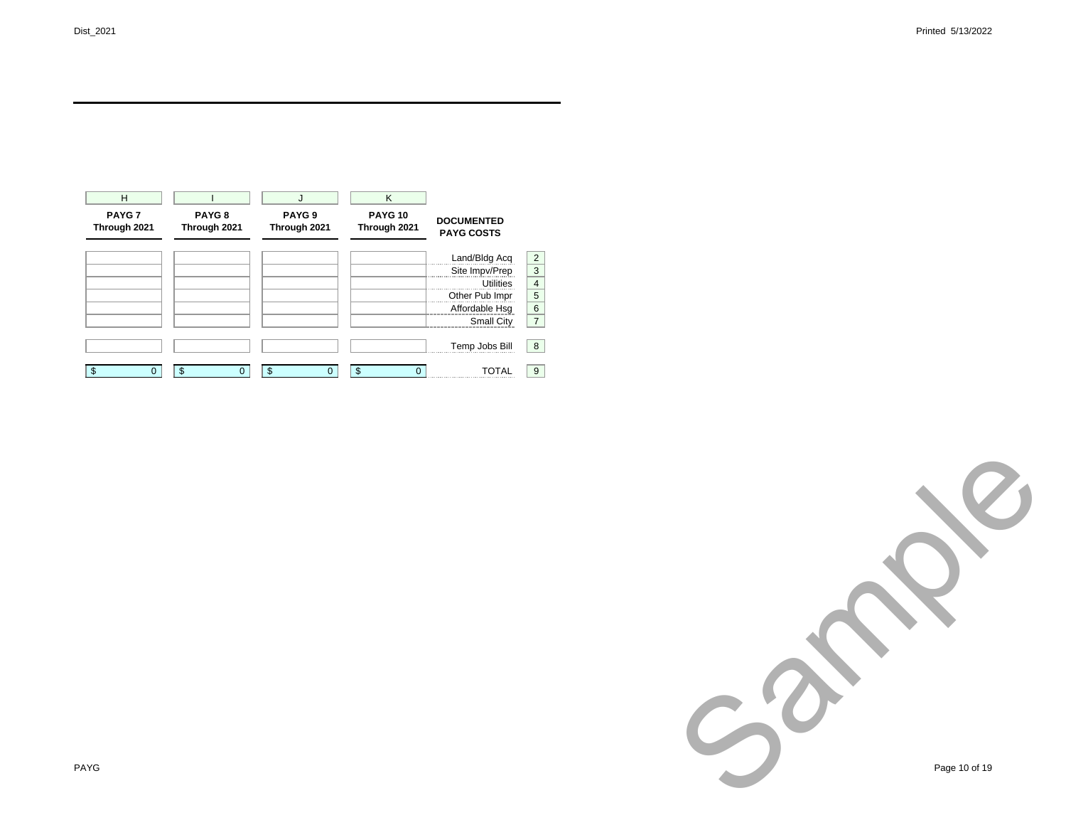| H<br>PAYG <sub>7</sub><br>Through 2021 | PAYG <sub>8</sub><br>Through 2021 | J<br>PAYG <sub>9</sub><br>Through 2021 | K<br><b>PAYG 10</b><br>Through 2021 | <b>DOCUMENTED</b><br><b>PAYG COSTS</b> |                |
|----------------------------------------|-----------------------------------|----------------------------------------|-------------------------------------|----------------------------------------|----------------|
|                                        |                                   |                                        |                                     | Land/Bldg Acq                          | $\overline{2}$ |
|                                        |                                   |                                        |                                     | Site Impv/Prep                         | 3              |
|                                        |                                   |                                        |                                     | <b>Utilities</b>                       | $\overline{4}$ |
|                                        |                                   |                                        |                                     | Other Pub Impr                         | 5              |
|                                        |                                   |                                        |                                     | Affordable Hsq                         | 6              |
|                                        |                                   |                                        |                                     | Small City                             | $\overline{7}$ |
|                                        |                                   |                                        |                                     | Temp Jobs Bill                         | 8              |
| \$                                     | \$<br>O                           | \$<br>0                                | \$<br>0                             | TOTAL                                  | 9              |

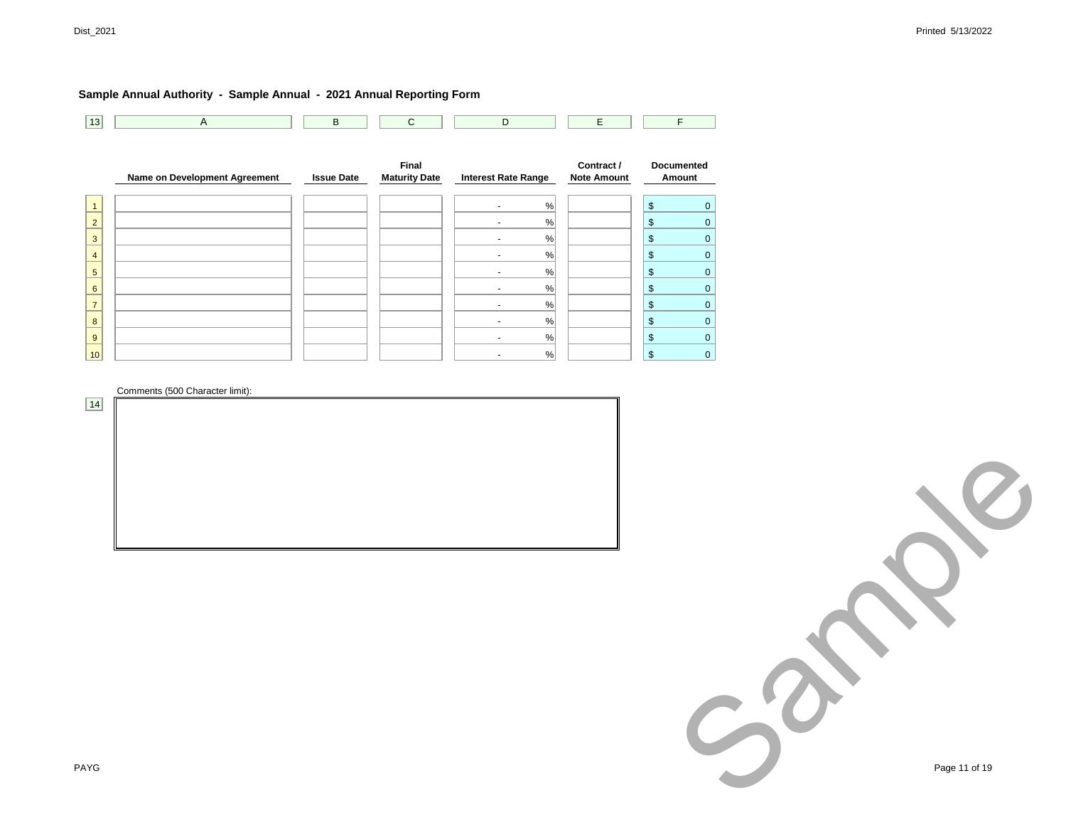| 13 | A                             | B                 | ◡                                    | D                          | ᄇ                                |                             |
|----|-------------------------------|-------------------|--------------------------------------|----------------------------|----------------------------------|-----------------------------|
|    |                               |                   |                                      |                            |                                  |                             |
|    | Name on Development Agreement | <b>Issue Date</b> | <b>Final</b><br><b>Maturity Date</b> | <b>Interest Rate Range</b> | Contract /<br><b>Note Amount</b> | <b>Documented</b><br>Amount |

|                     |  |  |  |                | %    |  | ∩<br>۰D            |   |
|---------------------|--|--|--|----------------|------|--|--------------------|---|
| ◠                   |  |  |  | $\blacksquare$ | %    |  | $\triangle$<br>AD. |   |
| ◠                   |  |  |  |                | %    |  | $\sqrt{2}$<br>A.   |   |
| -                   |  |  |  |                | $\%$ |  | $\triangle$<br>A.  |   |
| 5                   |  |  |  |                | $\%$ |  | $\triangle$<br>۰D  |   |
| $\overline{ }$<br>n |  |  |  |                | $\%$ |  | $\sqrt{2}$<br>۰D   |   |
|                     |  |  |  | -              | %    |  | œ<br>۰U            | ი |
| 8                   |  |  |  |                | %    |  | e<br>A.            |   |
| 9                   |  |  |  |                | $\%$ |  | $\sqrt{2}$<br>A.   | 0 |
| 10 <sup>1</sup>     |  |  |  |                | %    |  | æ                  |   |

Comments (500 Character limit):

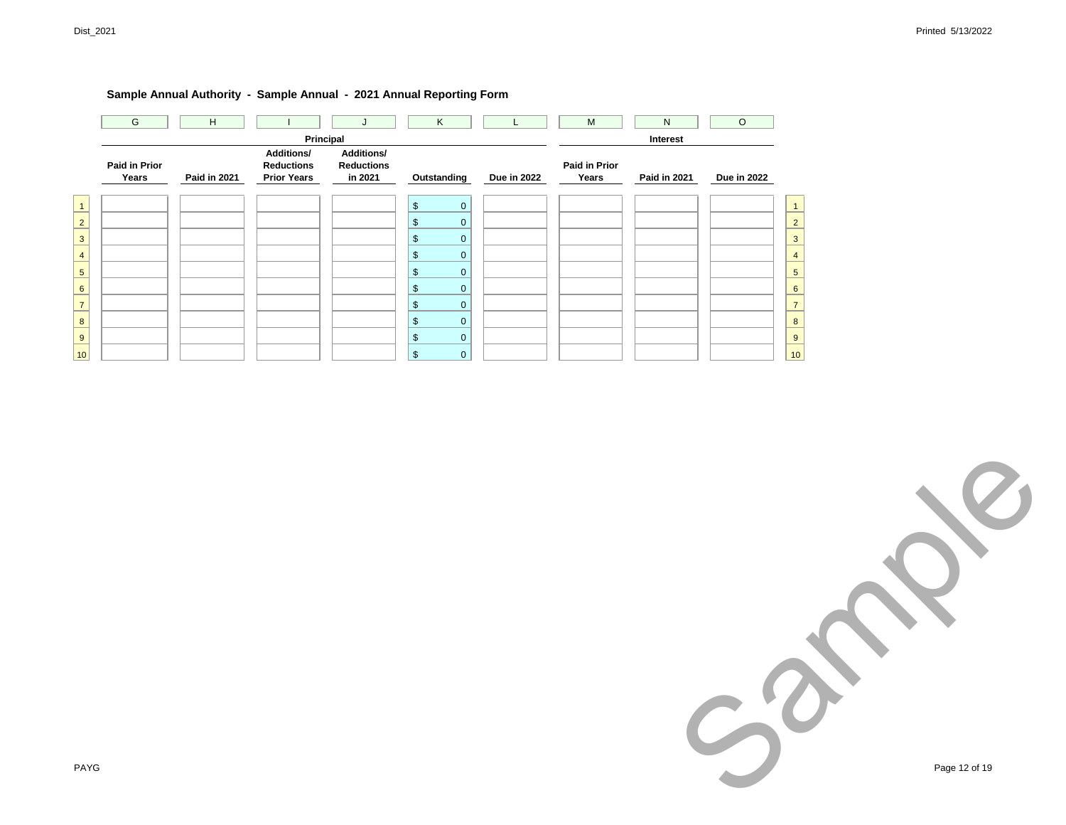| G                      | H                   |                                                              |                                                         | Κ                             |             | M                             | N                               | $\circ$            |                |
|------------------------|---------------------|--------------------------------------------------------------|---------------------------------------------------------|-------------------------------|-------------|-------------------------------|---------------------------------|--------------------|----------------|
| Paid in Prior<br>Years | <b>Paid in 2021</b> | <b>Additions/</b><br><b>Reductions</b><br><b>Prior Years</b> | Principal<br>Additions/<br><b>Reductions</b><br>in 2021 | Outstanding                   | Due in 2022 | <b>Paid in Prior</b><br>Years | Interest<br><b>Paid in 2021</b> | <b>Due in 2022</b> |                |
| $\mathbf{1}$           |                     |                                                              |                                                         | $\frac{1}{2}$<br>$\mathbf{0}$ |             |                               |                                 |                    | $\mathbf{1}$   |
| $\overline{2}$         |                     |                                                              |                                                         | \$<br>$\mathbf 0$             |             |                               |                                 |                    | $\overline{2}$ |
| 3                      |                     |                                                              |                                                         | \$<br>$\mathbf 0$             |             |                               |                                 |                    | 3              |
| $\overline{4}$         |                     |                                                              |                                                         | \$<br>$\mathbf 0$             |             |                               |                                 |                    | $\overline{4}$ |
| $\sqrt{5}$             |                     |                                                              |                                                         | \$<br>$\mathbf 0$             |             |                               |                                 |                    | 5              |
| 6                      |                     |                                                              |                                                         | \$<br>$\mathbf 0$             |             |                               |                                 |                    | 6              |
| $\overline{7}$         |                     |                                                              |                                                         | \$<br>$\mathbf 0$             |             |                               |                                 |                    | $\overline{7}$ |
| 8                      |                     |                                                              |                                                         | $\frac{1}{2}$<br>$\mathbf 0$  |             |                               |                                 |                    | 8              |
| 9                      |                     |                                                              |                                                         | $\frac{1}{2}$<br>$\mathbf 0$  |             |                               |                                 |                    | 9              |
| 10                     |                     |                                                              |                                                         | \$<br>$\mathbf 0$             |             |                               |                                 |                    | 10             |

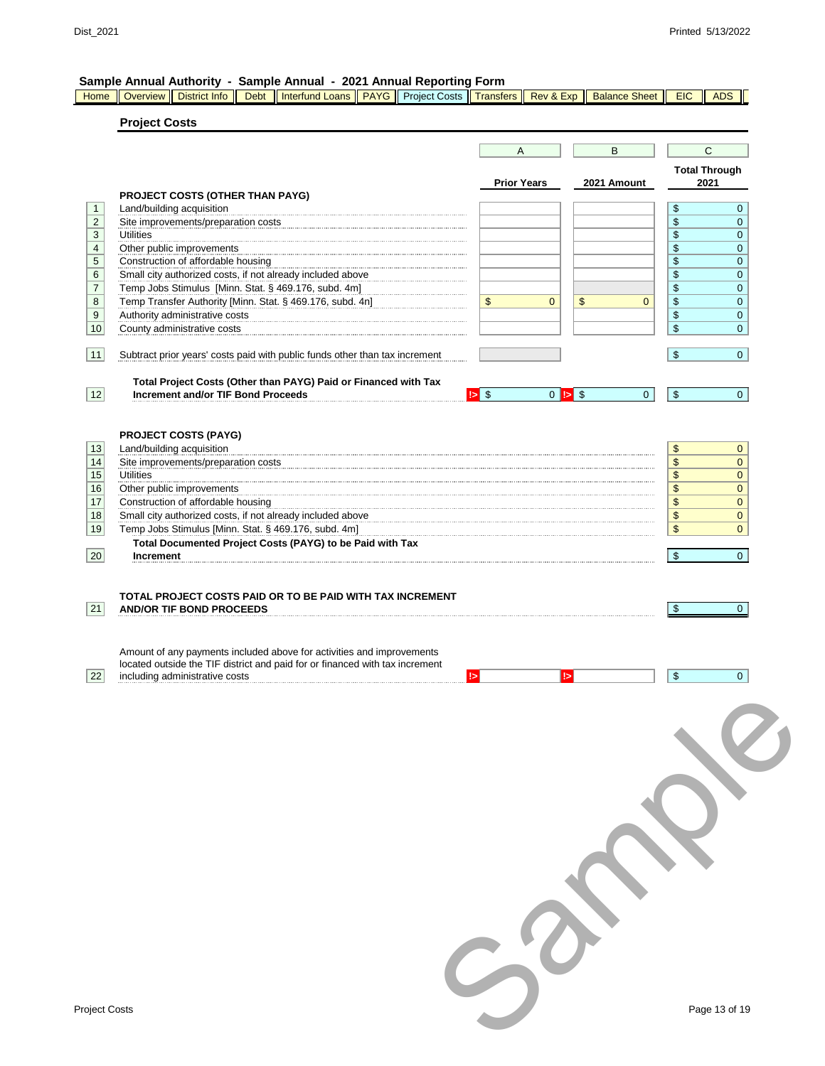#### **Sample Annual Authority - Sample Annual - 2021 Annual Reporting Form**

Home || Overview || District Info || Debt || Interfund Loans || PAYG || Project Costs || Transfers || Rev & Exp || Balance Sheet || EIC || ADS ||

## **Project Costs**

|                                                                                                                                                                                         |                 |                    | B                            |                | $\mathsf{C}$                 |                  |
|-----------------------------------------------------------------------------------------------------------------------------------------------------------------------------------------|-----------------|--------------------|------------------------------|----------------|------------------------------|------------------|
|                                                                                                                                                                                         |                 | <b>Prior Years</b> |                              | 2021 Amount    | <b>Total Through</b><br>2021 |                  |
| PROJECT COSTS (OTHER THAN PAYG)                                                                                                                                                         |                 |                    |                              |                |                              |                  |
| Land/building acquisition                                                                                                                                                               |                 |                    |                              |                | \$                           | $\overline{0}$   |
| Site improvements/preparation costs                                                                                                                                                     |                 |                    |                              |                | \$                           | $\mathbf 0$      |
| <b>Utilities</b>                                                                                                                                                                        |                 |                    |                              |                | \$                           | 0                |
| Other public improvements                                                                                                                                                               |                 |                    |                              |                | \$                           | 0                |
| Construction of affordable housing                                                                                                                                                      |                 |                    |                              |                | \$                           | $\mathbf 0$      |
| Small city authorized costs, if not already included above                                                                                                                              |                 |                    |                              |                | \$                           | 0                |
| Temp Jobs Stimulus [Minn. Stat. § 469.176, subd. 4m]                                                                                                                                    |                 |                    |                              |                | \$                           | 0                |
| Temp Transfer Authority [Minn. Stat. § 469.176, subd. 4n]                                                                                                                               | \$              | $\overline{0}$     | $\mathfrak{S}$               | $\mathbf{0}$   | \$                           | $\mathbf 0$      |
| Authority administrative costs<br>County administrative costs                                                                                                                           |                 |                    |                              |                | \$<br>\$                     | $\mathbf 0$<br>0 |
| Subtract prior years' costs paid with public funds other than tax increment                                                                                                             |                 |                    |                              |                | \$                           | $\mathbf{0}$     |
|                                                                                                                                                                                         |                 |                    |                              |                |                              |                  |
| Total Project Costs (Other than PAYG) Paid or Financed with Tax<br><b>Increment and/or TIF Bond Proceeds</b>                                                                            | $\mathbf{5}$ \$ |                    | $0$ $\blacktriangleright$ \$ | $\overline{0}$ | $\sqrt[6]{3}$                | $\overline{0}$   |
|                                                                                                                                                                                         |                 |                    |                              |                |                              |                  |
|                                                                                                                                                                                         |                 |                    |                              |                |                              |                  |
| <b>PROJECT COSTS (PAYG)</b>                                                                                                                                                             |                 |                    |                              |                |                              |                  |
| Land/building acquisition                                                                                                                                                               |                 |                    |                              |                | \$                           | $\mathbf{0}$     |
| Site improvements/preparation costs                                                                                                                                                     |                 |                    |                              |                | \$                           | $\mathbf{0}$     |
| <b>Utilities</b>                                                                                                                                                                        |                 |                    |                              |                | \$                           | $\mathbf{0}$     |
| Other public improvements                                                                                                                                                               |                 |                    |                              |                | \$                           | $\mathbf{0}$     |
| Construction of affordable housing                                                                                                                                                      |                 |                    |                              |                | \$                           | $\mathbf{0}$     |
| Small city authorized costs, if not already included above                                                                                                                              |                 |                    |                              |                | \$                           | 0                |
| Temp Jobs Stimulus [Minn. Stat. § 469.176, subd. 4m]                                                                                                                                    |                 |                    |                              |                | \$                           | $\mathbf{0}$     |
| Total Documented Project Costs (PAYG) to be Paid with Tax                                                                                                                               |                 |                    |                              |                |                              |                  |
| Increment                                                                                                                                                                               |                 |                    |                              |                | \$                           | $\overline{0}$   |
|                                                                                                                                                                                         |                 |                    |                              |                |                              |                  |
|                                                                                                                                                                                         |                 |                    |                              |                |                              |                  |
|                                                                                                                                                                                         | $\mathsf{I}$    |                    | ь                            |                | $\mathfrak{S}$               | $\overline{0}$   |
|                                                                                                                                                                                         |                 |                    |                              |                |                              |                  |
|                                                                                                                                                                                         |                 |                    |                              |                |                              |                  |
|                                                                                                                                                                                         |                 |                    |                              |                |                              |                  |
|                                                                                                                                                                                         |                 |                    |                              |                |                              |                  |
|                                                                                                                                                                                         |                 |                    |                              |                |                              |                  |
|                                                                                                                                                                                         |                 |                    |                              |                |                              |                  |
|                                                                                                                                                                                         |                 |                    |                              |                |                              |                  |
|                                                                                                                                                                                         |                 |                    |                              |                |                              |                  |
|                                                                                                                                                                                         |                 |                    |                              |                |                              |                  |
|                                                                                                                                                                                         |                 |                    |                              |                |                              |                  |
|                                                                                                                                                                                         |                 |                    |                              |                |                              |                  |
| Amount of any payments included above for activities and improvements<br>located outside the TIF district and paid for or financed with tax increment<br>including administrative costs |                 |                    |                              |                |                              |                  |
|                                                                                                                                                                                         |                 |                    |                              |                |                              |                  |
|                                                                                                                                                                                         |                 |                    |                              |                |                              |                  |
| roject Costs                                                                                                                                                                            |                 |                    |                              |                |                              | Page 13 of 19    |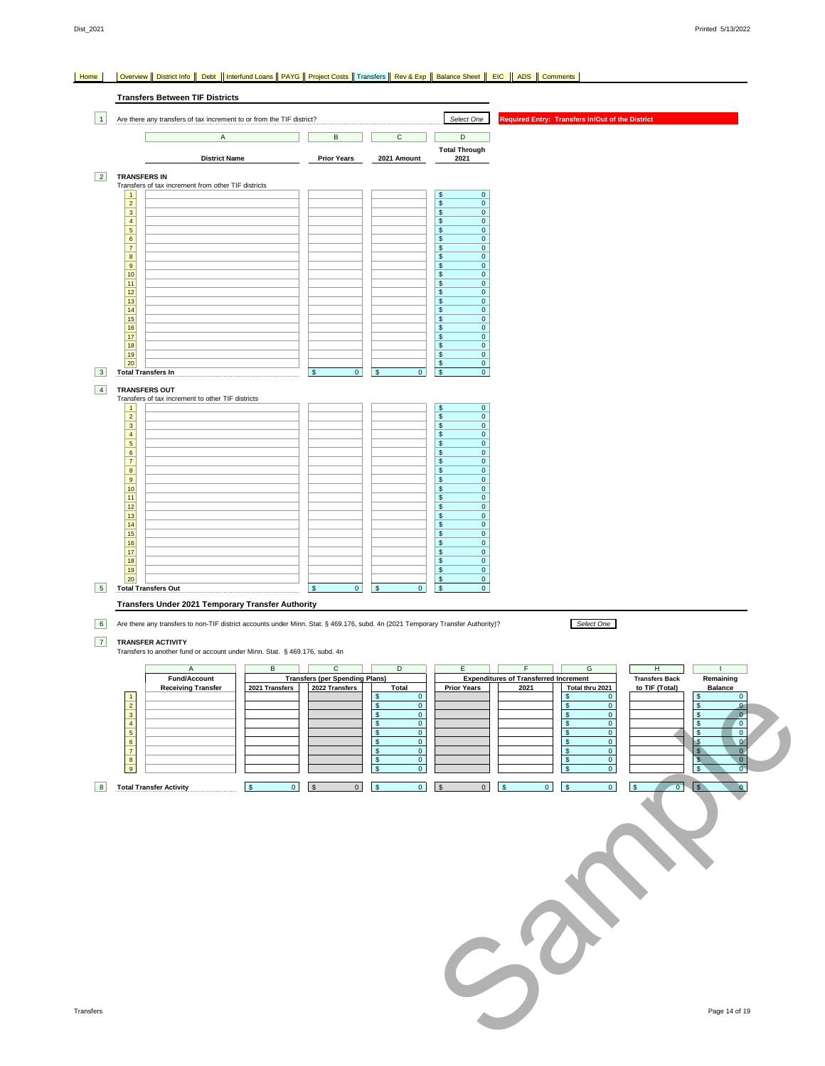#### Home | Overview || District Info || Debt || Interfund Loans || PAYG || Project Costs || Transfers |<mark>| Rev & Exp || Balance Sheet || EIC || ADS || Comments</mark> |

|                 | <b>Transfers Between TIF Districts</b>                                                                                                                      |                                                         |                                                            |                                                                            |                                                                                                                                                                               |
|-----------------|-------------------------------------------------------------------------------------------------------------------------------------------------------------|---------------------------------------------------------|------------------------------------------------------------|----------------------------------------------------------------------------|-------------------------------------------------------------------------------------------------------------------------------------------------------------------------------|
| $\vert$ 1       | Are there any transfers of tax increment to or from the TIF district?                                                                                       |                                                         |                                                            | Select One                                                                 | Required Entry: Transfers In/Out of the District                                                                                                                              |
|                 | A                                                                                                                                                           | В                                                       | $\mathsf{C}$                                               | $\overline{\mathsf{D}}$                                                    |                                                                                                                                                                               |
|                 | <b>District Name</b>                                                                                                                                        | <b>Prior Years</b>                                      | 2021 Amount                                                | <b>Total Through</b><br>2021                                               |                                                                                                                                                                               |
| $\vert$ 2       | <b>TRANSFERS IN</b><br>Transfers of tax increment from other TIF districts                                                                                  |                                                         |                                                            |                                                                            |                                                                                                                                                                               |
|                 | $\mathbf{1}$<br>$\overline{2}$                                                                                                                              |                                                         |                                                            | $\pmb{0}$<br>\$<br>$$\mathbb{S}$$<br>$\mathbf 0$                           |                                                                                                                                                                               |
|                 | $\overline{\mathbf{3}}$<br>$\overline{4}$                                                                                                                   |                                                         |                                                            | $$\mathbb{S}$$<br>$\mathbf 0$<br>\$<br>$\mathbf 0$                         |                                                                                                                                                                               |
|                 | $\overline{5}$<br>$6\overline{6}$                                                                                                                           |                                                         |                                                            | $$\mathbb{S}$$<br>$\overline{0}$<br>$\sqrt{3}$<br>$\overline{0}$           |                                                                                                                                                                               |
|                 | $\overline{7}$<br>$\overline{\mathbf{8}}$                                                                                                                   |                                                         |                                                            | $$\mathbb{S}$$<br>$\overline{0}$<br>$$\mathbb{S}$$<br>$\mathbf 0$          |                                                                                                                                                                               |
|                 | 9                                                                                                                                                           |                                                         |                                                            | $\sqrt{2}$<br>$\overline{0}$<br>$\mathbb S$<br>$\overline{0}$              |                                                                                                                                                                               |
|                 | $\frac{10}{11}$<br>$\overline{12}$                                                                                                                          |                                                         |                                                            | $\sqrt{3}$<br>$\overline{0}$<br>$$\mathbb{S}$$<br>$\overline{0}$           |                                                                                                                                                                               |
|                 | 13<br>14                                                                                                                                                    |                                                         |                                                            | $$\mathbb{S}$$<br>$\mathbf 0$<br>$\frac{1}{2}$<br>$\overline{0}$           |                                                                                                                                                                               |
|                 | 15<br>16                                                                                                                                                    |                                                         |                                                            | $$\mathbb{S}$$<br>$\overline{0}$<br>$\sqrt{3}$<br>$\overline{0}$           |                                                                                                                                                                               |
|                 | 17<br>18                                                                                                                                                    |                                                         |                                                            | $$\mathbb{S}$$<br>$\overline{0}$<br>$$\mathbb{S}$$<br>$\mathbf{0}$         |                                                                                                                                                                               |
|                 | 19<br>20 <sup>°</sup>                                                                                                                                       |                                                         |                                                            | $\sqrt{2}$<br>$\mathbf{0}$<br>$\overline{\mathcal{F}}$<br>$\overline{0}$   |                                                                                                                                                                               |
| 3               | <b>Total Transfers In</b>                                                                                                                                   | $\mathbf{0}$<br>$\mathbf{\$}$                           | 0 <sup>1</sup>                                             | l s<br>$\circ$                                                             |                                                                                                                                                                               |
| $\vert 4 \vert$ | <b>TRANSFERS OUT</b><br>Transfers of tax increment to other TIF districts                                                                                   |                                                         |                                                            |                                                                            |                                                                                                                                                                               |
|                 | $\mathbf{1}$<br>$\overline{2}$                                                                                                                              |                                                         |                                                            | $\sqrt{2}$<br>$\overline{0}$<br>$\mathbb S$<br>$\mathbf 0$                 |                                                                                                                                                                               |
|                 | $\overline{\mathbf{3}}$<br>$\overline{4}$                                                                                                                   |                                                         |                                                            | $$\mathbb{S}$$<br>$\overline{0}$<br>$$\mathbb{S}$$<br>$\mathbf 0$          |                                                                                                                                                                               |
|                 | $\sqrt{5}$<br>$6\overline{6}$                                                                                                                               |                                                         |                                                            | \$<br>$\mathbf{0}$<br>$\overline{\mathcal{S}}$<br>$\overline{0}$           |                                                                                                                                                                               |
|                 | $\overline{7}$<br>$\overline{\mathbf{8}}$                                                                                                                   |                                                         |                                                            | $\sqrt{2}$<br>$\pmb{0}$<br>$$\mathbb{S}$$<br>$\overline{0}$                |                                                                                                                                                                               |
|                 | 9<br>10                                                                                                                                                     |                                                         |                                                            | $\mathbf 0$<br>$\frac{1}{2}$<br>$$\mathbb{S}$$<br>$\overline{0}$           |                                                                                                                                                                               |
|                 | 11<br>12                                                                                                                                                    |                                                         |                                                            | $\$$<br>$\mathbf 0$<br>$$\mathbb{S}$$<br>$\overline{0}$                    |                                                                                                                                                                               |
|                 | 13<br>14                                                                                                                                                    |                                                         |                                                            | $\sqrt{2}$<br>$\overline{0}$<br>$\mathbb S$<br>$\overline{0}$              |                                                                                                                                                                               |
|                 | $\frac{15}{16}$                                                                                                                                             |                                                         |                                                            | $\sqrt{2}$<br>$\mathbf 0$<br>$\mathbb{S}$<br>$\mathbf 0$                   |                                                                                                                                                                               |
|                 | 17<br>18                                                                                                                                                    |                                                         |                                                            | $\overline{0}$<br>$$\mathbb{S}$$<br>$\mathbb{S}$<br>$\mathbf 0$            |                                                                                                                                                                               |
|                 | 19<br>$20\,$                                                                                                                                                |                                                         |                                                            | $\overline{\mathcal{F}}$<br>$\overline{0}$<br>$\sqrt{2}$<br>$\overline{0}$ |                                                                                                                                                                               |
| 5               | <b>Total Transfers Out</b>                                                                                                                                  | $\overline{0}$<br>$\vert$ \$                            | 0 <br>S                                                    | \$<br> 0                                                                   |                                                                                                                                                                               |
|                 | Transfers Under 2021 Temporary Transfer Authority                                                                                                           |                                                         |                                                            |                                                                            |                                                                                                                                                                               |
| 6               | Are there any transfers to non-TIF district accounts under Minn. Stat. § 469.176, subd. 4n (2021 Temporary Transfer Authority)?<br><b>TRANSFER ACTIVITY</b> |                                                         |                                                            |                                                                            | Select One                                                                                                                                                                    |
| 7               | Transfers to another fund or account under Minn. Stat. § 469.176, subd. 4n                                                                                  |                                                         |                                                            |                                                                            |                                                                                                                                                                               |
|                 | Α<br>В                                                                                                                                                      | С                                                       | D                                                          | Ε                                                                          | G<br>F<br>н                                                                                                                                                                   |
|                 | <b>Fund/Account</b><br><b>Receiving Fransfer</b><br>2021 Transfers                                                                                          | <b>Transfers (per Spending Plans)</b><br>2022 Transters | <u>i otal</u>                                              | <b>Prior Years</b>                                                         | <b>Expenditures of Transferred Increment</b><br><b>Transfers Back</b><br>Remaining<br>to TIF (Total)<br>2021<br>Total thru 2021<br><b>Balance</b>                             |
|                 |                                                                                                                                                             |                                                         | $\mathbf 0$<br>\$<br>$\mathbf 0$<br>S                      |                                                                            | $\frac{3}{9}$<br>$\overline{\mathbf{0}}$<br>$$\mathbb{S}$$<br>$\overline{0}$<br>$\mathbf 0$<br>$\theta$<br>$\mathfrak{s}$                                                     |
|                 |                                                                                                                                                             |                                                         | $\mathbf 0$<br>S<br>$\bullet$<br>\$                        |                                                                            | $\sqrt[6]{3}$<br>$\overline{0}$<br>$\overline{0}$<br>$\frac{1}{2}$<br>$\mathbf{\hat{S}}$<br>$\mathbf 0$<br>$\sqrt{3}$<br>$\overline{0}$                                       |
|                 |                                                                                                                                                             |                                                         | $\mathbf 0$<br>\$<br>$\mathbf{0}$<br>S<br>$\mathbf 0$<br>S |                                                                            | $\mathbf{\hat{s}}$<br>$\overline{0}$<br>$\sqrt{3}$<br>$\mathbf 0$<br>$\mathbf{\hat{s}}$<br>$\overline{0}$<br>$\mathbf{0}$<br>$\sqrt{2}$                                       |
|                 |                                                                                                                                                             |                                                         | $\mathbf{0}$<br>\$                                         |                                                                            | $\overline{0}$<br>$\mathbf{0}$<br>$\sqrt{3}$<br>$\sqrt{3}$<br>$\overline{0}$<br>$\sqrt{3}$<br>$\mathbf 0$<br>$\mathbf{s}$<br>$\sqrt{3}$<br>$\mathfrak{s}$                     |
| 8               | <b>Total Transfer Activity</b><br>$\overline{0}$<br>$\sqrt{3}$                                                                                              | $\overline{0}$<br><b>S</b>                              | $\overline{0}$<br>$\pmb{0}$<br>$\sqrt{3}$                  | $\bullet$<br>$\sqrt{3}$                                                    | $\overline{0}$<br>$\overline{0}$<br>$\overline{\mathbf{0}}$<br>$\overline{0}$<br>$\overline{\phantom{0}}$<br>$\sqrt{3}$<br>$\sqrt{3}$<br>$\sqrt{S}$<br>$\alpha$<br>$\sqrt{S}$ |
|                 |                                                                                                                                                             |                                                         |                                                            |                                                                            |                                                                                                                                                                               |
|                 |                                                                                                                                                             |                                                         |                                                            |                                                                            |                                                                                                                                                                               |
|                 |                                                                                                                                                             |                                                         |                                                            |                                                                            |                                                                                                                                                                               |
|                 |                                                                                                                                                             |                                                         |                                                            |                                                                            |                                                                                                                                                                               |
|                 |                                                                                                                                                             |                                                         |                                                            |                                                                            |                                                                                                                                                                               |
|                 |                                                                                                                                                             |                                                         |                                                            |                                                                            |                                                                                                                                                                               |
|                 |                                                                                                                                                             |                                                         |                                                            |                                                                            |                                                                                                                                                                               |
|                 |                                                                                                                                                             |                                                         |                                                            |                                                                            |                                                                                                                                                                               |
|                 |                                                                                                                                                             |                                                         |                                                            |                                                                            |                                                                                                                                                                               |
|                 |                                                                                                                                                             |                                                         |                                                            |                                                                            |                                                                                                                                                                               |
|                 |                                                                                                                                                             |                                                         |                                                            |                                                                            |                                                                                                                                                                               |
|                 |                                                                                                                                                             |                                                         |                                                            |                                                                            |                                                                                                                                                                               |
| nsfers          |                                                                                                                                                             |                                                         |                                                            |                                                                            | Page 14 of 19                                                                                                                                                                 |
|                 |                                                                                                                                                             |                                                         |                                                            |                                                                            |                                                                                                                                                                               |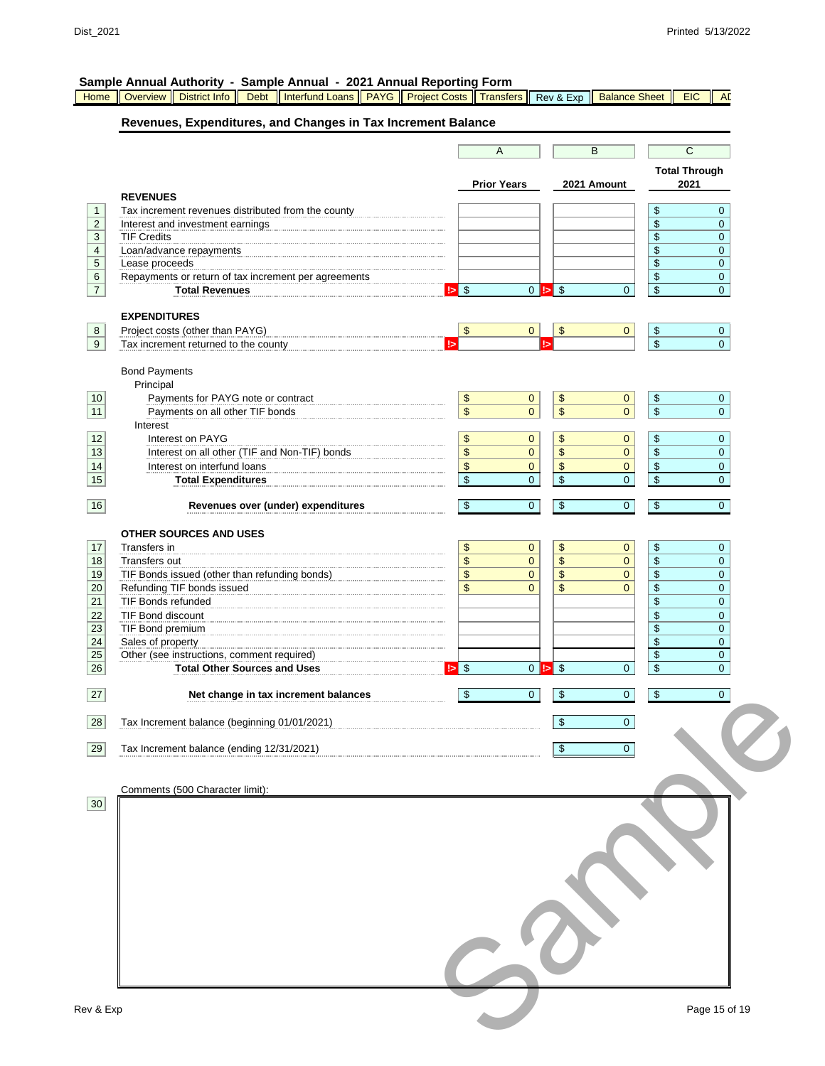|                | Sample Annual Authority - Sample Annual - 2021 Annual Reporting Form                   |                                                        |                                            |                              |
|----------------|----------------------------------------------------------------------------------------|--------------------------------------------------------|--------------------------------------------|------------------------------|
| Home           | Interfund Loans   PAYG   Project Costs   Transfers<br>Overview   District Info<br>Debt | Rev & Exp                                              | <b>Balance Sheet</b>                       | <b>EIC</b><br><b>AD</b>      |
|                | Revenues, Expenditures, and Changes in Tax Increment Balance                           |                                                        |                                            |                              |
|                |                                                                                        | A                                                      | B                                          | $\overline{C}$               |
|                |                                                                                        |                                                        |                                            |                              |
|                |                                                                                        | <b>Prior Years</b>                                     | 2021 Amount                                | <b>Total Through</b><br>2021 |
|                | <b>REVENUES</b>                                                                        |                                                        |                                            |                              |
| $\mathbf{1}$   | Tax increment revenues distributed from the county                                     |                                                        | \$                                         | $\mathbf{0}$                 |
| $\overline{2}$ | Interest and investment earnings                                                       |                                                        | \$                                         | $\mathbf 0$                  |
| 3              | <b>TIF Credits</b>                                                                     |                                                        | \$                                         | $\mathbf{0}$                 |
| 4              | Loan/advance repayments                                                                |                                                        | \$<br>\$                                   | 0<br>$\mathbf 0$             |
| 5<br>6         | Lease proceeds<br>Repayments or return of tax increment per agreements                 |                                                        | \$                                         | $\mathbf 0$                  |
| $\overline{7}$ | <b>Total Revenues</b>                                                                  | $ 5 $ \$<br>$0 \Leftrightarrow$ \$                     | $\mathsf{\$}$<br>$\overline{0}$            | $\overline{0}$               |
|                |                                                                                        |                                                        |                                            |                              |
|                | <b>EXPENDITURES</b>                                                                    |                                                        |                                            |                              |
| 8              | Project costs (other than PAYG)                                                        | $\boldsymbol{\$}$<br>$\frac{1}{2}$<br>$\mathbf{0}$     | $\mathbf{0}$<br>$\sqrt[6]{\frac{1}{2}}$    | $\mathbf 0$                  |
| 9              | Tax increment returned to the county                                                   | !>                                                     | $\sqrt[6]{\frac{1}{2}}$                    | $\overline{0}$               |
|                | <b>Bond Payments</b>                                                                   |                                                        |                                            |                              |
|                | Principal                                                                              |                                                        |                                            |                              |
| 10             | Payments for PAYG note or contract                                                     | \$<br>\$<br>$\mathbf{0}$                               | \$<br>$\mathbf{0}$                         | $\mathbf{0}$                 |
| 11             | Payments on all other TIF bonds                                                        | $\overline{\$}$<br>$\,$<br>$\overline{0}$              | $\$\$<br>$\overline{0}$                    | $\mathbf{0}$                 |
|                | Interest                                                                               |                                                        |                                            |                              |
| 12             | Interest on PAYG                                                                       | \$<br>\$<br>0                                          | \$<br>$\mathbf{0}$                         | $\mathbf{0}$                 |
| 13             | Interest on all other (TIF and Non-TIF) bonds                                          | $\mathbf{0}$<br>\$<br>\$                               | $\,$<br>$\overline{0}$                     | 0                            |
| 14             | Interest on interfund loans                                                            | $\,$<br>\$<br>$\overline{0}$<br>$\,$<br>$\mathbf 0$    | \$<br>$\mathbf{0}$<br>$\,$<br>$\mathbf 0$  | 0                            |
| 15             | <b>Total Expenditures</b>                                                              | \$                                                     |                                            | $\overline{0}$               |
| 16             | Revenues over (under) expenditures                                                     | $\overline{0}$<br>\$<br>\$                             | \$<br>$\mathbf{0}$                         | $\overline{0}$               |
|                |                                                                                        |                                                        |                                            |                              |
|                | <b>OTHER SOURCES AND USES</b>                                                          |                                                        |                                            |                              |
| 17             | Transfers in                                                                           | \$<br>\$<br>$\overline{0}$                             | \$<br>$\mathbf{0}$                         | $\mathbf 0$                  |
| 18             | Transfers out                                                                          | \$<br>$\overline{0}$<br>\$                             | $\,$<br>$\mathbf{0}$                       | 0                            |
| 19<br>20       | TIF Bonds issued (other than refunding bonds)                                          | $\mathbf{0}$<br>\$<br>\$<br>\$<br>\$<br>$\overline{0}$ | $\mathbf{0}$<br>\$<br>\$<br>$\overline{0}$ | $\mathbf 0$<br>$\mathbf 0$   |
| 21             | Refunding TIF bonds issued<br><b>TIF Bonds refunded</b>                                |                                                        | \$                                         | 0                            |
| 22             | TIF Bond discount                                                                      |                                                        | \$                                         | $\mathbf 0$                  |
| 23             | TIF Bond premium                                                                       |                                                        | \$                                         | $\mathbf 0$                  |
| 24             | Sales of property                                                                      |                                                        | \$                                         | 0                            |
| 25             | Other (see instructions, comment required)                                             |                                                        | \$                                         | $\pmb{0}$                    |
| 26             | <b>Total Other Sources and Uses</b>                                                    | $  \cdot  $ \$<br>$0 \Leftrightarrow$ \$               | \$<br>$\mathbf{0}$                         | 0                            |
| 27             | Net change in tax increment balances                                                   | \$<br>0<br>\$                                          | \$<br>0                                    | 0                            |
|                |                                                                                        |                                                        |                                            |                              |
| 28             | Tax Increment balance (beginning 01/01/2021)                                           | \$                                                     | $\overline{0}$                             |                              |
|                |                                                                                        |                                                        |                                            |                              |
| 29             | Tax Increment balance (ending 12/31/2021)                                              | $\sqrt[6]{\frac{1}{2}}$                                | $\Omega$                                   |                              |
|                |                                                                                        |                                                        |                                            |                              |
|                | Comments (500 Character limit):                                                        |                                                        |                                            |                              |
| 30             |                                                                                        |                                                        |                                            |                              |
|                |                                                                                        |                                                        |                                            |                              |
|                |                                                                                        |                                                        |                                            |                              |
|                |                                                                                        |                                                        |                                            |                              |
|                |                                                                                        |                                                        |                                            |                              |
|                |                                                                                        |                                                        |                                            |                              |
|                |                                                                                        |                                                        |                                            |                              |
|                |                                                                                        |                                                        |                                            |                              |
|                |                                                                                        |                                                        |                                            |                              |
|                |                                                                                        |                                                        |                                            |                              |
|                |                                                                                        |                                                        |                                            |                              |
|                |                                                                                        |                                                        |                                            |                              |
|                |                                                                                        |                                                        |                                            |                              |
|                |                                                                                        |                                                        |                                            |                              |
| Rev & Exp      |                                                                                        |                                                        |                                            | Page 15 of 19                |
|                |                                                                                        |                                                        |                                            |                              |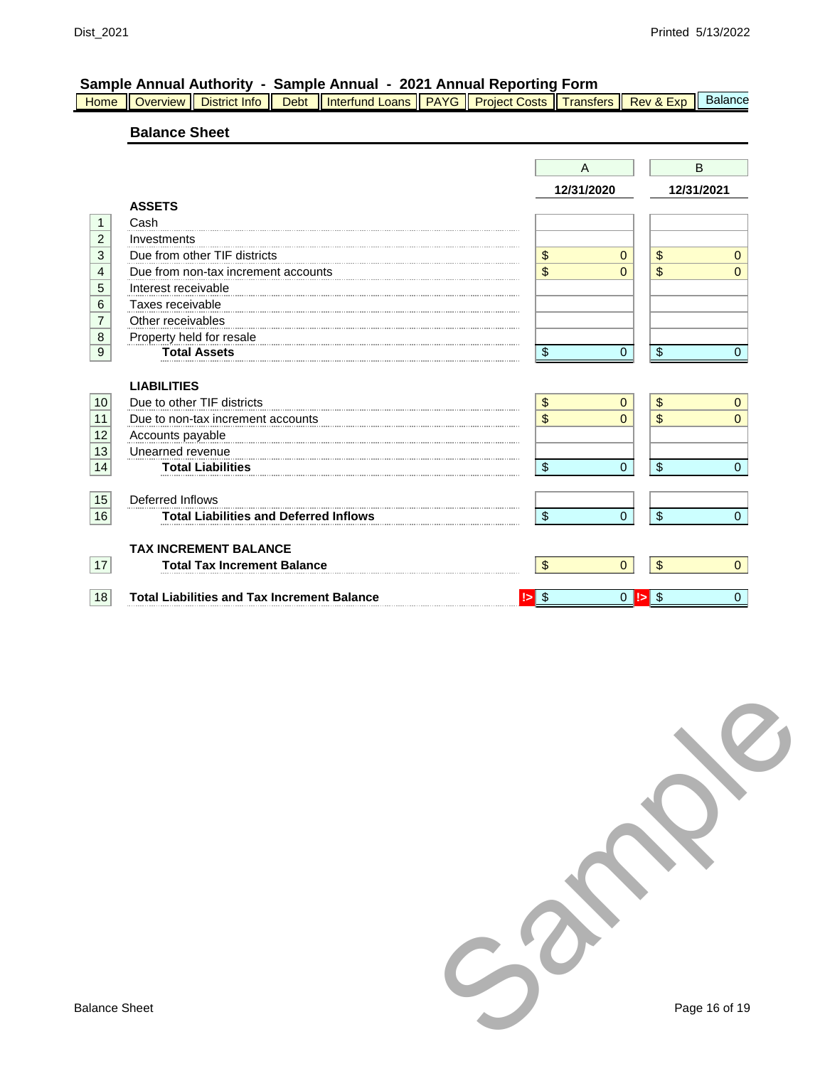|  |  | Home Overview District Info   Debt   Interfund Loans   PAYG   Project Costs   Transfers   Rev & Exp   Balance |  |  |  |
|--|--|---------------------------------------------------------------------------------------------------------------|--|--|--|

## **Balance Sheet**

|                 |                                                    |                           | A                  | B          |                |
|-----------------|----------------------------------------------------|---------------------------|--------------------|------------|----------------|
|                 |                                                    |                           | 12/31/2020         | 12/31/2021 |                |
|                 | <b>ASSETS</b>                                      |                           |                    |            |                |
| $\mathbf{1}$    | Cash                                               |                           |                    |            |                |
| $\overline{c}$  | Investments                                        |                           |                    |            |                |
| $\overline{3}$  | Due from other TIF districts                       | \$                        | $\mathbf{0}$       | \$         | $\mathbf{0}$   |
| $\overline{4}$  | Due from non-tax increment accounts                | \$                        | $\Omega$           | \$         | $\Omega$       |
| 5               | Interest receivable                                |                           |                    |            |                |
| 6               | Taxes receivable                                   |                           |                    |            |                |
| $\overline{7}$  | Other receivables                                  |                           |                    |            |                |
| $\overline{8}$  | Property held for resale                           |                           |                    |            |                |
| $\overline{9}$  | <b>Total Assets</b>                                | \$                        | 0                  | \$         | $\mathbf{0}$   |
|                 |                                                    |                           |                    |            |                |
|                 | <b>LIABILITIES</b>                                 |                           |                    |            |                |
| 10              | Due to other TIF districts                         | \$                        | $\mathbf{0}$       | \$         | $\mathbf{0}$   |
| 11              | Due to non-tax increment accounts                  | \$                        | $\Omega$           | \$         | $\Omega$       |
| 12              | Accounts payable                                   |                           |                    |            |                |
| $\overline{13}$ | Unearned revenue                                   |                           |                    |            |                |
| 14              | <b>Total Liabilities</b>                           | \$                        | $\Omega$           | \$         | $\mathbf{0}$   |
|                 |                                                    |                           |                    |            |                |
| 15              | Deferred Inflows                                   |                           |                    |            |                |
| 16              | <b>Total Liabilities and Deferred Inflows</b>      | \$                        | 0                  | \$         | $\Omega$       |
|                 | <b>TAX INCREMENT BALANCE</b>                       |                           |                    |            |                |
| 17              | <b>Total Tax Increment Balance</b>                 | $\boldsymbol{\mathsf{S}}$ | $\overline{0}$     | $\sqrt{2}$ | $\overline{0}$ |
|                 |                                                    |                           |                    |            |                |
| 18              | <b>Total Liabilities and Tax Increment Balance</b> | \$                        | $\mathbf{0}$<br>!> | -\$        | $\mathbf{0}$   |
|                 |                                                    |                           |                    |            |                |

Sample Page 16 of 19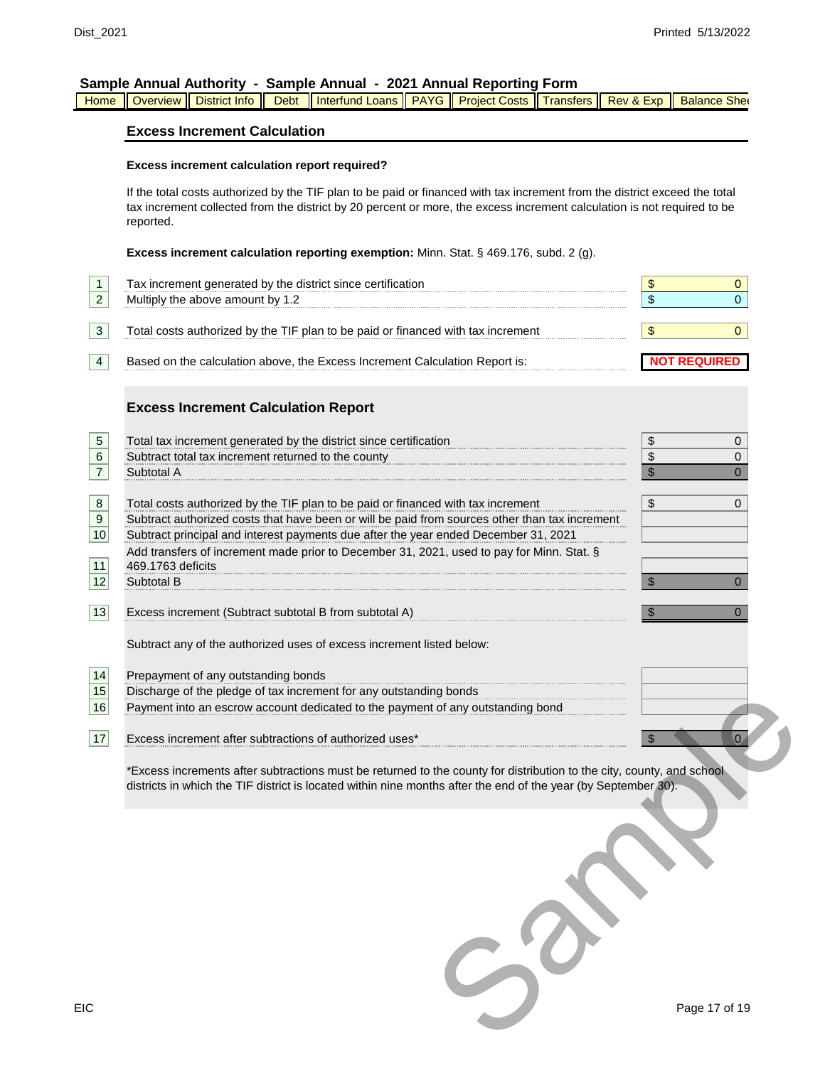|  |  |  |  | Home Hoverview Holstrict Info Holbet Holterfund Loans HPAYG HProject Costs HTransfers HRev & Exp Helalance She |  |  |  |  |  |  |
|--|--|--|--|----------------------------------------------------------------------------------------------------------------|--|--|--|--|--|--|
|--|--|--|--|----------------------------------------------------------------------------------------------------------------|--|--|--|--|--|--|

#### **Excess Increment Calculation**

#### **Excess increment calculation report required?**

If the total costs authorized by the TIF plan to be paid or financed with tax increment from the district exceed the total tax increment collected from the district by 20 percent or more, the excess increment calculation is not required to be reported.

**Excess increment calculation reporting exemption:** Minn. Stat. § 469.176, subd. 2 (g).

| $\mathbf{1}$<br>$\overline{2}$ | Tax increment generated by the district since certification<br>Multiply the above amount by 1.2                                                                                                                                         | \$<br>0<br>\$<br>0  |
|--------------------------------|-----------------------------------------------------------------------------------------------------------------------------------------------------------------------------------------------------------------------------------------|---------------------|
| 3                              | Total costs authorized by the TIF plan to be paid or financed with tax increment                                                                                                                                                        | \$<br>0             |
| 4                              | Based on the calculation above, the Excess Increment Calculation Report is:                                                                                                                                                             | <b>NOT REQUIRED</b> |
|                                | <b>Excess Increment Calculation Report</b>                                                                                                                                                                                              |                     |
| 5                              | Total tax increment generated by the district since certification                                                                                                                                                                       | \$<br>0             |
| 6                              | Subtract total tax increment returned to the county                                                                                                                                                                                     | \$<br>0             |
| $\overline{7}$                 | Subtotal A                                                                                                                                                                                                                              | \$<br>0             |
| $\,8\,$                        | Total costs authorized by the TIF plan to be paid or financed with tax increment                                                                                                                                                        | \$<br>0             |
| 9                              | Subtract authorized costs that have been or will be paid from sources other than tax increment                                                                                                                                          |                     |
| $10$                           | Subtract principal and interest payments due after the year ended December 31, 2021                                                                                                                                                     |                     |
|                                | Add transfers of increment made prior to December 31, 2021, used to pay for Minn. Stat. §                                                                                                                                               |                     |
| 11                             | 469.1763 deficits                                                                                                                                                                                                                       |                     |
| 12                             | Subtotal B                                                                                                                                                                                                                              | 0<br>\$             |
|                                |                                                                                                                                                                                                                                         |                     |
| 13                             | Excess increment (Subtract subtotal B from subtotal A)                                                                                                                                                                                  | 0<br>\$             |
|                                | Subtract any of the authorized uses of excess increment listed below:                                                                                                                                                                   |                     |
| 14                             | Prepayment of any outstanding bonds                                                                                                                                                                                                     |                     |
| 15                             | Discharge of the pledge of tax increment for any outstanding bonds                                                                                                                                                                      |                     |
| 16                             | Payment into an escrow account dedicated to the payment of any outstanding bond                                                                                                                                                         |                     |
| 17                             | Excess increment after subtractions of authorized uses*                                                                                                                                                                                 | $\mathbf{0}$        |
|                                | *Excess increments after subtractions must be returned to the county for distribution to the city, county, and school<br>districts in which the TIF district is located within nine months after the end of the year (by September 30). |                     |
|                                |                                                                                                                                                                                                                                         |                     |
| С                              |                                                                                                                                                                                                                                         | Page 17 of 19       |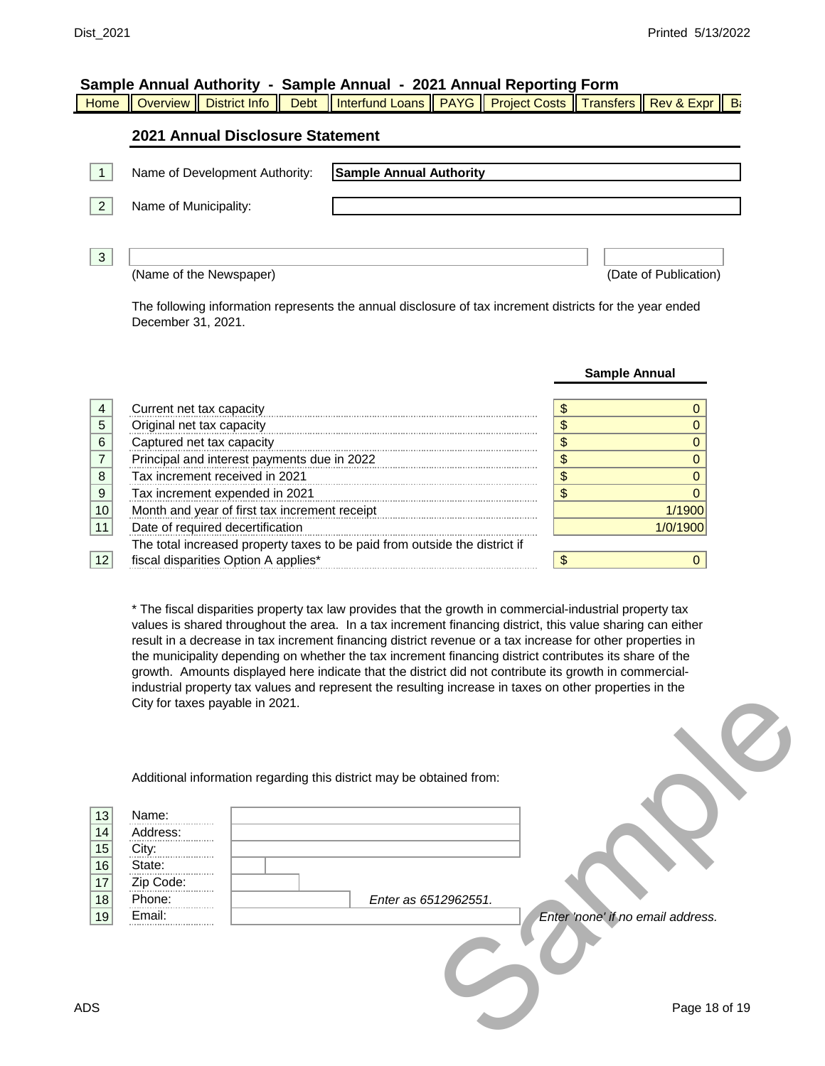**Sample Annual**

| Sample Annual Authority - Sample Annual - 2021 Annual Reporting Form |  |  |  |  |
|----------------------------------------------------------------------|--|--|--|--|
|----------------------------------------------------------------------|--|--|--|--|

|  |  |  |  | Home    Overview    District Info    Debt    Interfund Loans    PAYG    Project Costs    Transfers    Rev & Expr    B |  |  |  |  |  |  |
|--|--|--|--|-----------------------------------------------------------------------------------------------------------------------|--|--|--|--|--|--|
|--|--|--|--|-----------------------------------------------------------------------------------------------------------------------|--|--|--|--|--|--|

## **2021 Annual Disclosure Statement**

|   | Name of Development Authority: | <b>Sample Annual Authority</b> |
|---|--------------------------------|--------------------------------|
| 2 | Name of Municipality:          |                                |
| 3 | (Name of the Newspaper)        | (Date of Publication)          |

The following information represents the annual disclosure of tax increment districts for the year ended December 31, 2021.

|   |                                                                            | 941191971111441 |
|---|----------------------------------------------------------------------------|-----------------|
|   |                                                                            |                 |
|   | Current net tax capacity                                                   |                 |
| 5 | Original net tax capacity                                                  |                 |
| 6 | Captured net tax capacity                                                  |                 |
|   | Principal and interest payments due in 2022                                |                 |
| 8 | Tax increment received in 2021                                             |                 |
| 9 | Tax increment expended in 2021                                             |                 |
|   | Month and year of first tax increment receipt                              | 1900            |
|   | Date of required decertification                                           | 1/0/1900        |
|   | The total increased property taxes to be paid from outside the district if |                 |
|   |                                                                            |                 |

\* The fiscal disparities property tax law provides that the growth in commercial-industrial property tax values is shared throughout the area. In a tax increment financing district, this value sharing can either result in a decrease in tax increment financing district revenue or a tax increase for other properties in the municipality depending on whether the tax increment financing district contributes its share of the growth. Amounts displayed here indicate that the district did not contribute its growth in commercialindustrial property tax values and represent the resulting increase in taxes on other properties in the City for taxes payable in 2021.

|                      | City for taxes payable in 2021.      |                                                                      |
|----------------------|--------------------------------------|----------------------------------------------------------------------|
| 13<br>14<br>15<br>16 | Name:<br>Address:<br>City:<br>State: | Additional information regarding this district may be obtained from: |
| $17\,$<br>18         | Zip Code:<br>Phone:                  | Enter as 6512962551.                                                 |
| 19                   | Email:                               | Enter 'none' if no email address.                                    |
| ΟS                   |                                      | Page 18 of 19                                                        |